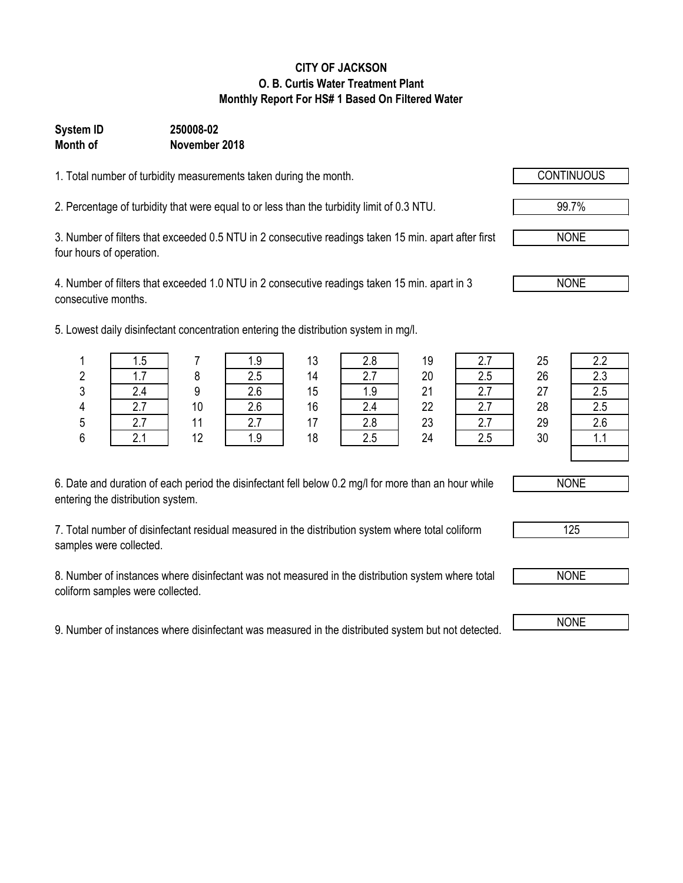#### **CITY OF JACKSON O. B. Curtis Water Treatment Plant Monthly Report For HS# 1 Based On Filtered Water**

### **System ID 250008-02 Month of November 2018**

1. Total number of turbidity measurements taken during the month.

2. Percentage of turbidity that were equal to or less than the turbidity limit of 0.3 NTU.

3. Number of filters that exceeded 0.5 NTU in 2 consecutive readings taken 15 min. apart after first four hours of operation.

4. Number of filters that exceeded 1.0 NTU in 2 consecutive readings taken 15 min. apart in 3 consecutive months.

5. Lowest daily disinfectant concentration entering the distribution system in mg/l.

| ں. ا     |    | ن. ا     | 10                       | z.o      | 10 | <u>.</u> | 25 | 2.2        |
|----------|----|----------|--------------------------|----------|----|----------|----|------------|
| .        |    | ں.ے      | 14                       | <u>.</u> | 20 | 2.5      | 26 | 2.3        |
|          |    | 2.6      | 15                       | ں ،      | 21 | ,,,      | 27 | 2.5        |
| <u>.</u> | 10 | 2.6      | 16                       |          | 22 | ۷.I      | 28 | 2.5        |
| $\sim$   |    | $\sim$ . | $\overline{\phantom{a}}$ | Z.ŏ      | 23 | <u>.</u> | 29 | 2.6        |
|          | 12 | ن. ا     | 18                       | 2.5      | 24 | 2.5      | 30 | <b>1.1</b> |

| ՝  |  |
|----|--|
| 14 |  |
| 15 |  |
| 16 |  |
| 17 |  |
| 18 |  |
|    |  |

| 2.7 |
|-----|
| 2.5 |
| 2.7 |
| 2.7 |
| 2.7 |
| 2.5 |

| 2.2 |
|-----|
| 2.3 |
| 2.5 |
| 2.5 |
| 2.6 |
| 11  |
|     |

6. Date and duration of each period the disinfectant fell below 0.2 mg/l for more than an hour while entering the distribution system.

7. Total number of disinfectant residual measured in the distribution system where total coliform samples were collected.

8. Number of instances where disinfectant was not measured in the distribution system where total coliform samples were collected.

9. Number of instances where disinfectant was measured in the distributed system but not detected. NONE

NONE

NONE

125



99.7%

NONE

NONE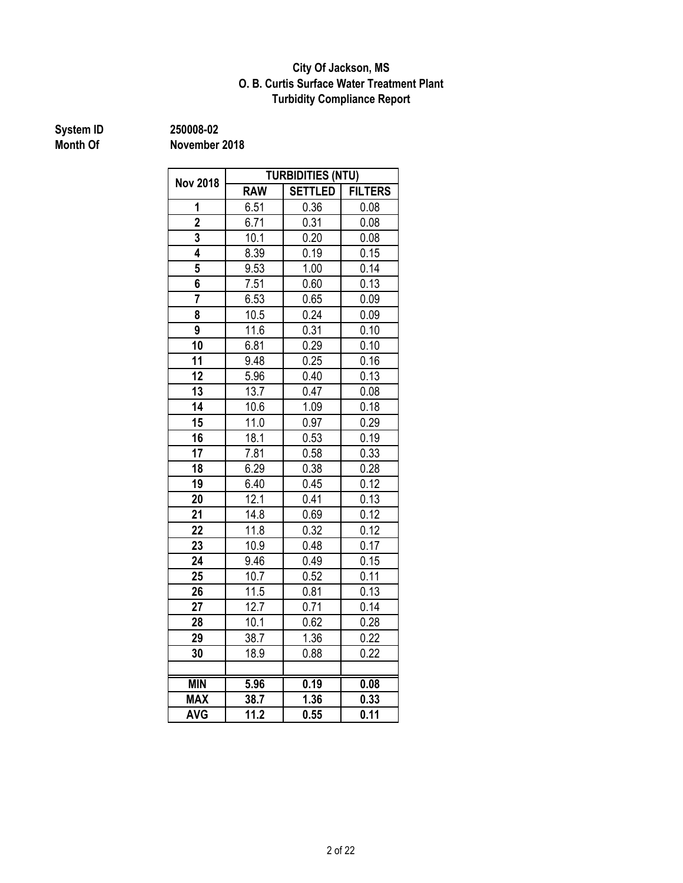#### **O. B. Curtis Surface Water Treatment Plant City Of Jackson, MS Turbidity Compliance Report**

# **System ID 250008-02**

| <b>Nov 2018</b> | <b>TURBIDITIES (NTU)</b> |                   |                |  |  |  |
|-----------------|--------------------------|-------------------|----------------|--|--|--|
|                 | <b>RAW</b>               | <b>SETTLED</b>    | <b>FILTERS</b> |  |  |  |
| 1               | 6.51                     | 0.36              | 0.08           |  |  |  |
| $\overline{2}$  | 6.71                     | 0.31              | 0.08           |  |  |  |
| 3               | 10.1                     | 0.20              | 0.08           |  |  |  |
| 4               | 8.39                     | 0.19              | 0.15           |  |  |  |
| 5               | 9.53                     | 1.00              | 0.14           |  |  |  |
| 6               | 7.51                     | 0.60              | 0.13           |  |  |  |
|                 | 6.53                     | 0.65              | 0.09           |  |  |  |
| 8               | 10.5                     | 0.24              | 0.09           |  |  |  |
| 9               | 11.6                     | $0.\overline{31}$ | 0.10           |  |  |  |
| 10              | 6.81                     | 0.29              | 0.10           |  |  |  |
| 11              | 9.48                     | 0.25              | 0.16           |  |  |  |
| 12              | 5.96                     | 0.40              | 0.13           |  |  |  |
| 13              | 13.7                     | 0.47              | 0.08           |  |  |  |
| 14              | 10.6                     | 1.09              | 0.18           |  |  |  |
| 15              | 11.0<br>0.97             |                   | 0.29           |  |  |  |
| 16              | 18.1                     | 0.53              | 0.19           |  |  |  |
| 17              | 7.81                     | 0.58              | 0.33           |  |  |  |
| 18              | 6.29                     | 0.38              | 0.28           |  |  |  |
| 19              | 6.40                     | 0.45              | 0.12           |  |  |  |
| 20              | 12.1                     | 0.41              | 0.13           |  |  |  |
| 21              | 14.8                     | 0.69              | 0.12           |  |  |  |
| 22              | 11.8                     | 0.32              | 0.12           |  |  |  |
| 23              | 10.9                     | 0.48              | 0.17           |  |  |  |
| 24              | 9.46                     | 0.49              | 0.15           |  |  |  |
| 25              | 10.7                     | 0.52              | 0.11           |  |  |  |
| 26              | 11.5                     | 0.81              | 0.13           |  |  |  |
| 27              | 12.7                     | 0.71              | 0.14           |  |  |  |
| 28              | 10.1                     | 0.62              | 0.28           |  |  |  |
| 29              | 38.7                     | 1.36              | 0.22           |  |  |  |
| 30              | 18.9                     | 0.88              | 0.22           |  |  |  |
|                 |                          |                   |                |  |  |  |
| <b>MIN</b>      | 5.96                     | 0.19              | 0.08           |  |  |  |
| <b>MAX</b>      | 38.7                     | 1.36              | 0.33           |  |  |  |
| <b>AVG</b>      | 11.2                     | 0.55              | 0.11           |  |  |  |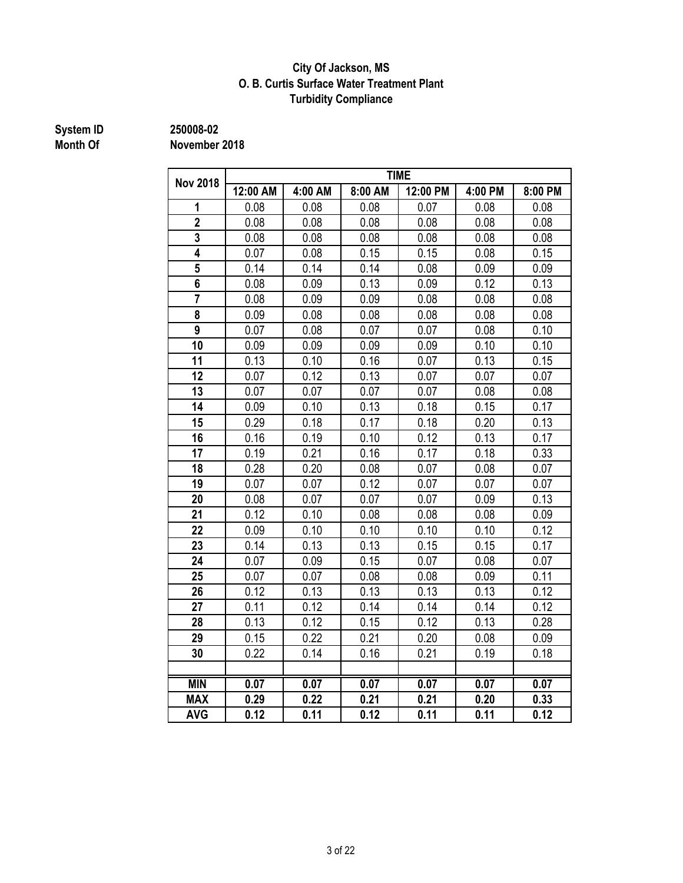#### **City Of Jackson, MS O. B. Curtis Surface Water Treatment Plant Turbidity Compliance**

# **System ID 250008-02**

| <b>Nov 2018</b>         | <b>TIME</b> |         |         |          |         |         |  |
|-------------------------|-------------|---------|---------|----------|---------|---------|--|
|                         | 12:00 AM    | 4:00 AM | 8:00 AM | 12:00 PM | 4:00 PM | 8:00 PM |  |
| 1                       | 0.08        | 0.08    | 0.08    | 0.07     | 0.08    | 0.08    |  |
| $\overline{\mathbf{2}}$ | 0.08        | 0.08    | 0.08    | 0.08     | 0.08    | 0.08    |  |
| 3                       | 0.08        | 0.08    | 0.08    | 0.08     | 0.08    | 0.08    |  |
| 4                       | 0.07        | 0.08    | 0.15    | 0.15     | 0.08    | 0.15    |  |
| 5                       | 0.14        | 0.14    | 0.14    | 0.08     | 0.09    | 0.09    |  |
| 6                       | 0.08        | 0.09    | 0.13    | 0.09     | 0.12    | 0.13    |  |
| $\overline{7}$          | 0.08        | 0.09    | 0.09    | 0.08     | 0.08    | 0.08    |  |
| 8                       | 0.09        | 0.08    | 0.08    | 0.08     | 0.08    | 0.08    |  |
| 9                       | 0.07        | 0.08    | 0.07    | 0.07     | 0.08    | 0.10    |  |
| 10                      | 0.09        | 0.09    | 0.09    | 0.09     | 0.10    | 0.10    |  |
| 11                      | 0.13        | 0.10    | 0.16    | 0.07     | 0.13    | 0.15    |  |
| 12                      | 0.07        | 0.12    | 0.13    | 0.07     | 0.07    | 0.07    |  |
| 13                      | 0.07        | 0.07    | 0.07    | 0.07     | 0.08    | 0.08    |  |
| 14                      | 0.09        | 0.10    | 0.13    | 0.18     | 0.15    | 0.17    |  |
| 15                      | 0.29        | 0.18    | 0.17    | 0.18     | 0.20    | 0.13    |  |
| 16                      | 0.16        | 0.19    | 0.10    | 0.12     | 0.13    | 0.17    |  |
| 17                      | 0.19        | 0.21    | 0.16    | 0.17     | 0.18    | 0.33    |  |
| 18                      | 0.28        | 0.20    | 0.08    | 0.07     | 0.08    | 0.07    |  |
| 19                      | 0.07        | 0.07    | 0.12    | 0.07     | 0.07    | 0.07    |  |
| 20                      | 0.08        | 0.07    | 0.07    | 0.07     | 0.09    | 0.13    |  |
| 21                      | 0.12        | 0.10    | 0.08    | 0.08     | 0.08    | 0.09    |  |
| 22                      | 0.09        | 0.10    | 0.10    | 0.10     | 0.10    | 0.12    |  |
| 23                      | 0.14        | 0.13    | 0.13    | 0.15     | 0.15    | 0.17    |  |
| 24                      | 0.07        | 0.09    | 0.15    | 0.07     | 0.08    | 0.07    |  |
| 25                      | 0.07        | 0.07    | 0.08    | 0.08     | 0.09    | 0.11    |  |
| 26                      | 0.12        | 0.13    | 0.13    | 0.13     | 0.13    | 0.12    |  |
| 27                      | 0.11        | 0.12    | 0.14    | 0.14     | 0.14    | 0.12    |  |
| 28                      | 0.13        | 0.12    | 0.15    | 0.12     | 0.13    | 0.28    |  |
| 29                      | 0.15        | 0.22    | 0.21    | 0.20     | 0.08    | 0.09    |  |
| 30                      | 0.22        | 0.14    | 0.16    | 0.21     | 0.19    | 0.18    |  |
|                         |             |         |         |          |         |         |  |
| <b>MIN</b>              | 0.07        | 0.07    | 0.07    | 0.07     | 0.07    | 0.07    |  |
| <b>MAX</b>              | 0.29        | 0.22    | 0.21    | 0.21     | 0.20    | 0.33    |  |
| <b>AVG</b>              | 0.12        | 0.11    | 0.12    | 0.11     | 0.11    | 0.12    |  |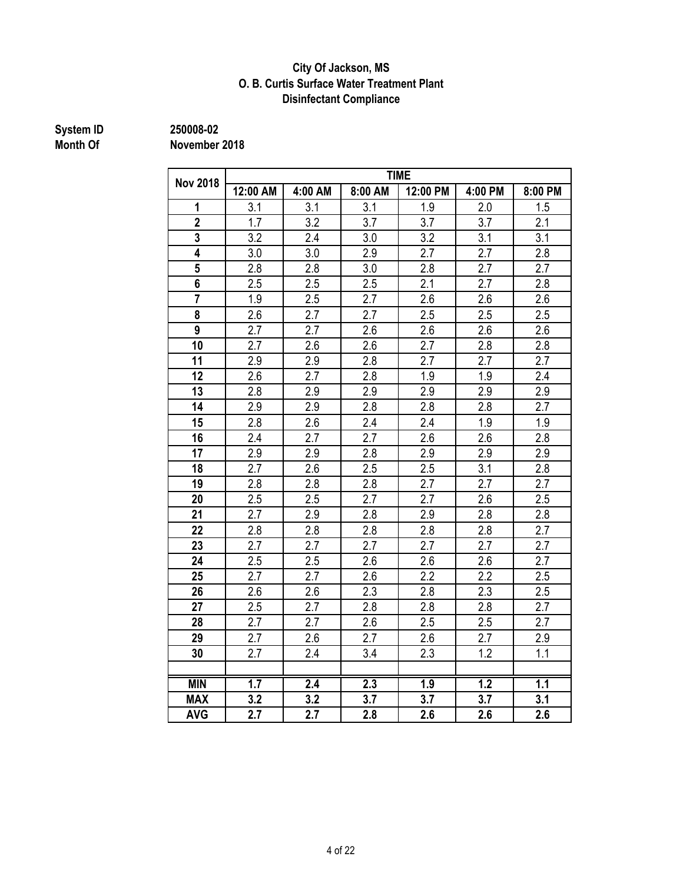#### **Disinfectant Compliance City Of Jackson, MS O. B. Curtis Surface Water Treatment Plant**

# **System ID 250008-02**

|                 | <b>TIME</b> |                  |         |                  |                  |                  |  |
|-----------------|-------------|------------------|---------|------------------|------------------|------------------|--|
| <b>Nov 2018</b> | 12:00 AM    | 4:00 AM          | 8:00 AM | 12:00 PM         | 4:00 PM          | 8:00 PM          |  |
| 1               | 3.1         | 3.1              | 3.1     | 1.9              | 2.0              | 1.5              |  |
| $\overline{2}$  | 1.7         | 3.2              | 3.7     | 3.7              | 3.7              | 2.1              |  |
| 3               | 3.2         | 2.4              | 3.0     | 3.2              | 3.1              | 3.1              |  |
| 4               | 3.0         | 3.0              | 2.9     | 2.7              | 2.7              | 2.8              |  |
| 5               | 2.8         | 2.8              | 3.0     | 2.8              | 2.7              | 2.7              |  |
| 6               | 2.5         | 2.5              | 2.5     | 2.1              | 2.7              | 2.8              |  |
| $\overline{7}$  | 1.9         | 2.5              | 2.7     | 2.6              | 2.6              | 2.6              |  |
| 8               | 2.6         | 2.7              | 2.7     | 2.5              | 2.5              | 2.5              |  |
| 9               | 2.7         | 2.7              | 2.6     | 2.6              | 2.6              | 2.6              |  |
| 10              | 2.7         | 2.6              | 2.6     | 2.7              | 2.8              | 2.8              |  |
| 11              | 2.9         | 2.9              | 2.8     | 2.7              | 2.7              | 2.7              |  |
| 12              | 2.6         | 2.7              | 2.8     | 1.9              | 1.9              | 2.4              |  |
| 13              | 2.8         | 2.9              | 2.9     | 2.9              | 2.9              | 2.9              |  |
| 14              | 2.9         | 2.9              | 2.8     | 2.8              | 2.8              | 2.7              |  |
| 15              | 2.8         | 2.6              | 2.4     | 2.4              | 1.9              | 1.9              |  |
| 16              | 2.4         | 2.7              | 2.7     | 2.6              | 2.6              | 2.8              |  |
| 17              | 2.9         | 2.9              | 2.8     | 2.9              | 2.9              | 2.9              |  |
| 18              | 2.7         | 2.6              | 2.5     | 2.5              | 3.1              | 2.8              |  |
| 19              | 2.8         | 2.8              | 2.8     | 2.7              | 2.7              | 2.7              |  |
| 20              | 2.5         | 2.5              | 2.7     | 2.7              | 2.6              | 2.5              |  |
| 21              | 2.7         | 2.9              | 2.8     | 2.9              | 2.8              | 2.8              |  |
| 22              | 2.8         | 2.8              | 2.8     | 2.8              | 2.8              | 2.7              |  |
| 23              | 2.7         | 2.7              | 2.7     | 2.7              | 2.7              | 2.7              |  |
| 24              | 2.5         | 2.5              | 2.6     | 2.6              | 2.6              | 2.7              |  |
| 25              | 2.7         | 2.7              | 2.6     | 2.2              | 2.2              | 2.5              |  |
| 26              | 2.6         | 2.6              | 2.3     | 2.8              | 2.3              | 2.5              |  |
| 27              | 2.5         | 2.7              | 2.8     | 2.8              | 2.8              | 2.7              |  |
| 28              | 2.7         | 2.7              | 2.6     | 2.5              | 2.5              | 2.7              |  |
| 29              | 2.7         | 2.6              | 2.7     | 2.6              | 2.7              | 2.9              |  |
| 30              | 2.7         | 2.4              | 3.4     | 2.3              | 1.2              | 1.1              |  |
|                 |             |                  |         |                  |                  |                  |  |
| <b>MIN</b>      | 1.7         | $\overline{2.4}$ | 2.3     | $\overline{1.9}$ | $\overline{1.2}$ | $\overline{1.1}$ |  |
| <b>MAX</b>      | 3.2         | 3.2              | 3.7     | 3.7              | 3.7              | 3.1              |  |
| <b>AVG</b>      | 2.7         | 2.7              | 2.8     | 2.6              | 2.6              | 2.6              |  |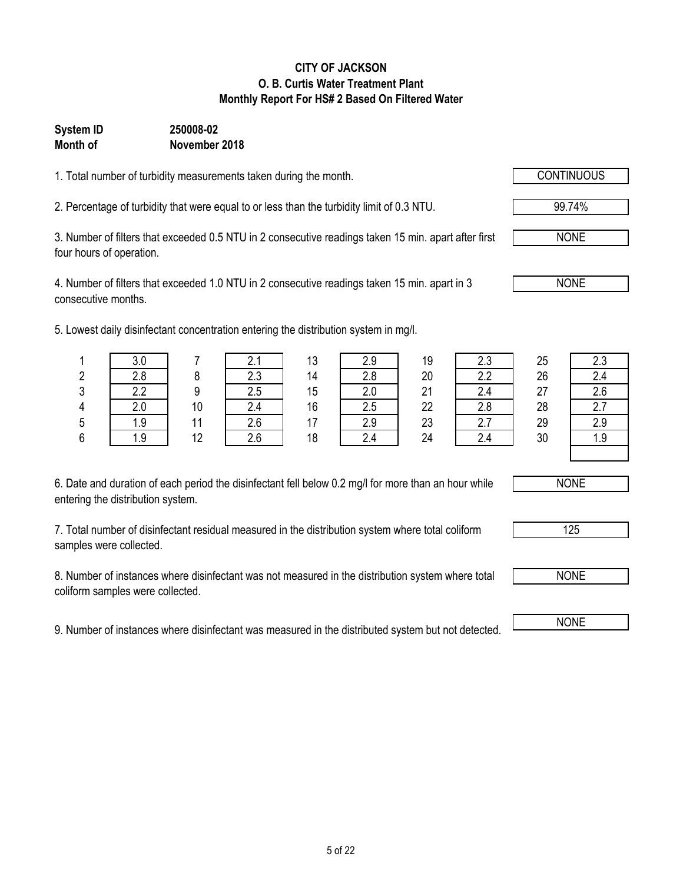#### **CITY OF JACKSON O. B. Curtis Water Treatment Plant Monthly Report For HS# 2 Based On Filtered Water**

### **Month of November 2018 System ID 250008-02**

1. Total number of turbidity measurements taken during the month.

2. Percentage of turbidity that were equal to or less than the turbidity limit of 0.3 NTU. 99.74%

3. Number of filters that exceeded 0.5 NTU in 2 consecutive readings taken 15 min. apart after first four hours of operation.

4. Number of filters that exceeded 1.0 NTU in 2 consecutive readings taken 15 min. apart in 3 consecutive months.

5. Lowest daily disinfectant concentration entering the distribution system in mg/l.

| 6. Date and duration of each period the disinfectant fell below 0.2 mg/l for more than an hour while |  |
|------------------------------------------------------------------------------------------------------|--|
| entering the distribution system.                                                                    |  |

7. Total number of disinfectant residual measured in the distribution system where total coliform samples were collected.

8. Number of instances where disinfectant was not measured in the distribution system where total coliform samples were collected.

9. Number of instances where disinfectant was measured in the distributed system but not detected.

|   | west daily disimediant concentration entering the distribution system in mg/l. |    |     |    |     |    |     |    |     |
|---|--------------------------------------------------------------------------------|----|-----|----|-----|----|-----|----|-----|
|   | 3.0                                                                            |    |     | 13 | 2.9 | 19 | 2.3 | 25 | 2.3 |
| 2 | 2.8                                                                            |    | 2.3 | 14 | 2.8 | 20 | 2.2 | 26 | 2.4 |
| 3 | 2.2                                                                            |    | 2.5 | 15 | 2.0 | 21 | 2.4 | 27 | 2.6 |
| 4 | 2.0                                                                            | 10 | 2.4 | 16 | 2.5 | 22 | 2.8 | 28 |     |
| 5 | 1.9                                                                            |    | 2.6 |    | 2.9 | 23 |     | 29 | 2.9 |
| 6 | 1.9                                                                            | 12 | 2.6 | 18 | n   | 24 | 2.4 | 30 | 1.9 |

NONE

125



NONE

NONE

NONE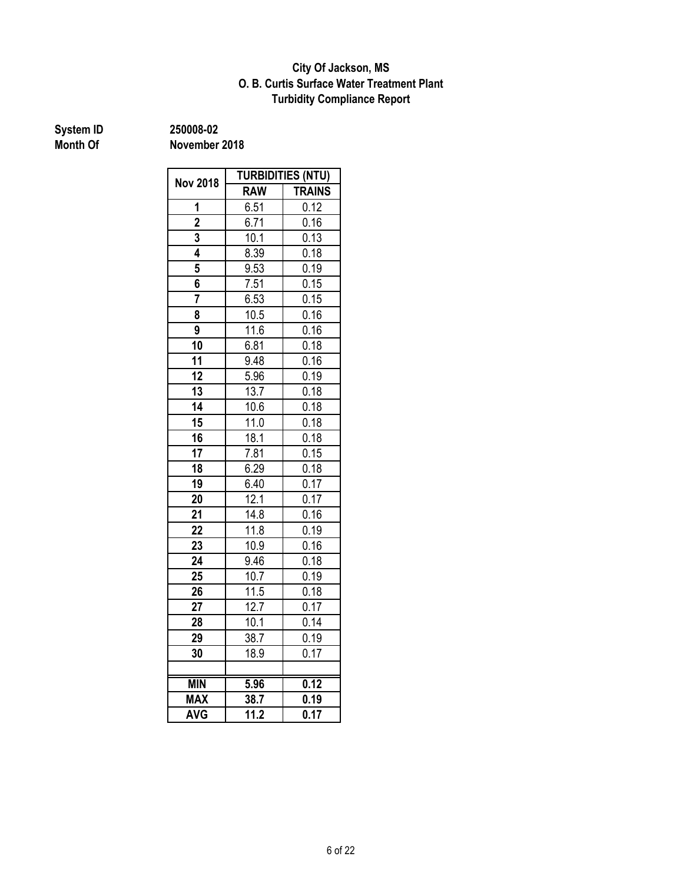#### **Turbidity Compliance Report O. B. Curtis Surface Water Treatment Plant City Of Jackson, MS**

# **System ID 250008-02**

|                 | <b>TURBIDITIES (NTU)</b> |                     |  |  |  |
|-----------------|--------------------------|---------------------|--|--|--|
| <b>Nov 2018</b> | <b>RAW</b>               | <b>TRAINS</b>       |  |  |  |
| 1               | 6.51                     | 0.12                |  |  |  |
| $\overline{2}$  | 6.71                     | 0.16                |  |  |  |
| 3               | 10.1                     | 0.13                |  |  |  |
| 4               | 8.39                     | 0.18                |  |  |  |
| 5               | 9.53                     | 0.19                |  |  |  |
| 6               | 7.51                     | 0.15                |  |  |  |
| 7               | 6.53                     | 0.15                |  |  |  |
| 8               | 10.5                     | 0.16                |  |  |  |
| 9               | 11.6                     | 0.16                |  |  |  |
| 10              | 6.81                     | 0.18                |  |  |  |
| 11              | 9.48                     | 0.16                |  |  |  |
| 12              | 5.96                     | 0.19                |  |  |  |
| 13              | 13.7                     | 0.18                |  |  |  |
| 14              | 10.6                     | 0.18                |  |  |  |
| 15              | 11.0                     | 0.18                |  |  |  |
| 16              | 18.1                     | 0.18                |  |  |  |
| 17              | 7.81                     | 0.15                |  |  |  |
| 18              | 6.29                     | 0.18                |  |  |  |
| 19              | 6.40                     | $\frac{0.17}{0.17}$ |  |  |  |
| 20              | 12.1                     | 0.17                |  |  |  |
| 21              | 14.8                     | 0.16                |  |  |  |
| 22              | 11.8                     | 0.19                |  |  |  |
| 23              | 10.9                     | 0.16                |  |  |  |
| 24              | 9.46                     | 0.18                |  |  |  |
| 25              | 10.7                     | 0.19                |  |  |  |
| 26              | 11.5                     | 0.18                |  |  |  |
| 27              | 12.7                     | 0.17                |  |  |  |
| 28              | 10.1                     | 0.14                |  |  |  |
| 29              | 38.7                     | 0.19                |  |  |  |
| 30              | 18.9                     | 0.17                |  |  |  |
|                 |                          |                     |  |  |  |
| <b>MIN</b>      | 5.96                     | 0.12                |  |  |  |
| <b>MAX</b>      | 38.7                     | 0.19                |  |  |  |
| <b>AVG</b>      | 11.2                     | 0.17                |  |  |  |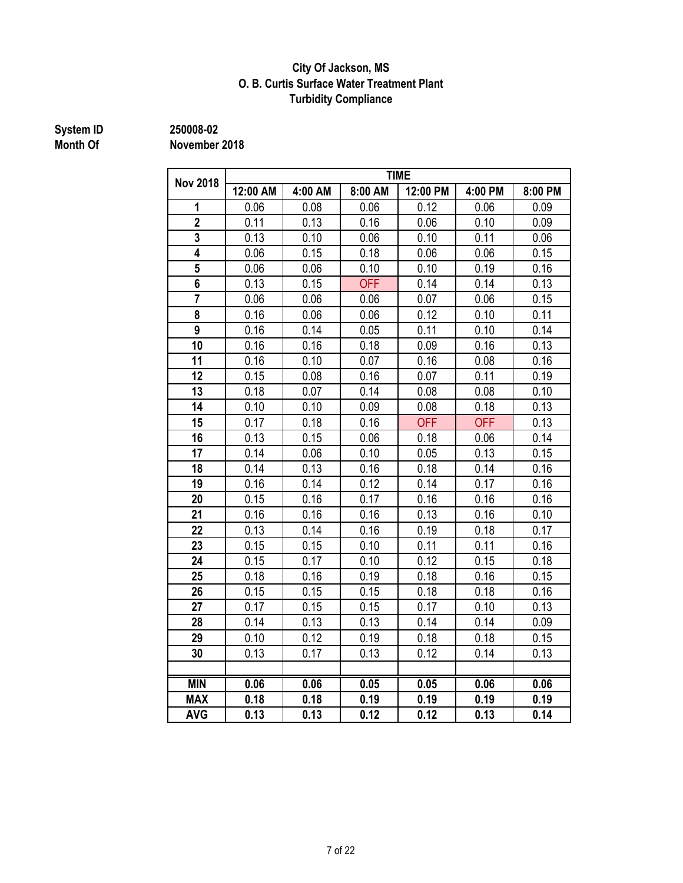#### **City Of Jackson, MS O. B. Curtis Surface Water Treatment Plant Turbidity Compliance**

# **System ID 250008-02**

| <b>Nov 2018</b> | <b>TIME</b> |         |            |            |            |         |  |
|-----------------|-------------|---------|------------|------------|------------|---------|--|
|                 | 12:00 AM    | 4:00 AM | 8:00 AM    | 12:00 PM   | 4:00 PM    | 8:00 PM |  |
| 1               | 0.06        | 0.08    | 0.06       | 0.12       | 0.06       | 0.09    |  |
| $\overline{2}$  | 0.11        | 0.13    | 0.16       | 0.06       | 0.10       | 0.09    |  |
| 3               | 0.13        | 0.10    | 0.06       | 0.10       | 0.11       | 0.06    |  |
| 4               | 0.06        | 0.15    | 0.18       | 0.06       | 0.06       | 0.15    |  |
| 5               | 0.06        | 0.06    | 0.10       | 0.10       | 0.19       | 0.16    |  |
| 6               | 0.13        | 0.15    | <b>OFF</b> | 0.14       | 0.14       | 0.13    |  |
| $\overline{7}$  | 0.06        | 0.06    | 0.06       | 0.07       | 0.06       | 0.15    |  |
| 8               | 0.16        | 0.06    | 0.06       | 0.12       | 0.10       | 0.11    |  |
| 9               | 0.16        | 0.14    | 0.05       | 0.11       | 0.10       | 0.14    |  |
| 10              | 0.16        | 0.16    | 0.18       | 0.09       | 0.16       | 0.13    |  |
| 11              | 0.16        | 0.10    | 0.07       | 0.16       | 0.08       | 0.16    |  |
| 12              | 0.15        | 0.08    | 0.16       | 0.07       | 0.11       | 0.19    |  |
| 13              | 0.18        | 0.07    | 0.14       | 0.08       | 0.08       | 0.10    |  |
| 14              | 0.10        | 0.10    | 0.09       | 0.08       | 0.18       | 0.13    |  |
| 15              | 0.17        | 0.18    | 0.16       | <b>OFF</b> | <b>OFF</b> | 0.13    |  |
| 16              | 0.13        | 0.15    | 0.06       | 0.18       | 0.06       | 0.14    |  |
| 17              | 0.14        | 0.06    | 0.10       | 0.05       | 0.13       | 0.15    |  |
| 18              | 0.14        | 0.13    | 0.16       | 0.18       | 0.14       | 0.16    |  |
| 19              | 0.16        | 0.14    | 0.12       | 0.14       | 0.17       | 0.16    |  |
| 20              | 0.15        | 0.16    | 0.17       | 0.16       | 0.16       | 0.16    |  |
| 21              | 0.16        | 0.16    | 0.16       | 0.13       | 0.16       | 0.10    |  |
| 22              | 0.13        | 0.14    | 0.16       | 0.19       | 0.18       | 0.17    |  |
| 23              | 0.15        | 0.15    | 0.10       | 0.11       | 0.11       | 0.16    |  |
| 24              | 0.15        | 0.17    | 0.10       | 0.12       | 0.15       | 0.18    |  |
| 25              | 0.18        | 0.16    | 0.19       | 0.18       | 0.16       | 0.15    |  |
| 26              | 0.15        | 0.15    | 0.15       | 0.18       | 0.18       | 0.16    |  |
| 27              | 0.17        | 0.15    | 0.15       | 0.17       | 0.10       | 0.13    |  |
| 28              | 0.14        | 0.13    | 0.13       | 0.14       | 0.14       | 0.09    |  |
| 29              | 0.10        | 0.12    | 0.19       | 0.18       | 0.18       | 0.15    |  |
| 30              | 0.13        | 0.17    | 0.13       | 0.12       | 0.14       | 0.13    |  |
|                 |             |         |            |            |            |         |  |
| <b>MIN</b>      | 0.06        | 0.06    | 0.05       | 0.05       | 0.06       | 0.06    |  |
| <b>MAX</b>      | 0.18        | 0.18    | 0.19       | 0.19       | 0.19       | 0.19    |  |
| <b>AVG</b>      | 0.13        | 0.13    | 0.12       | 0.12       | 0.13       | 0.14    |  |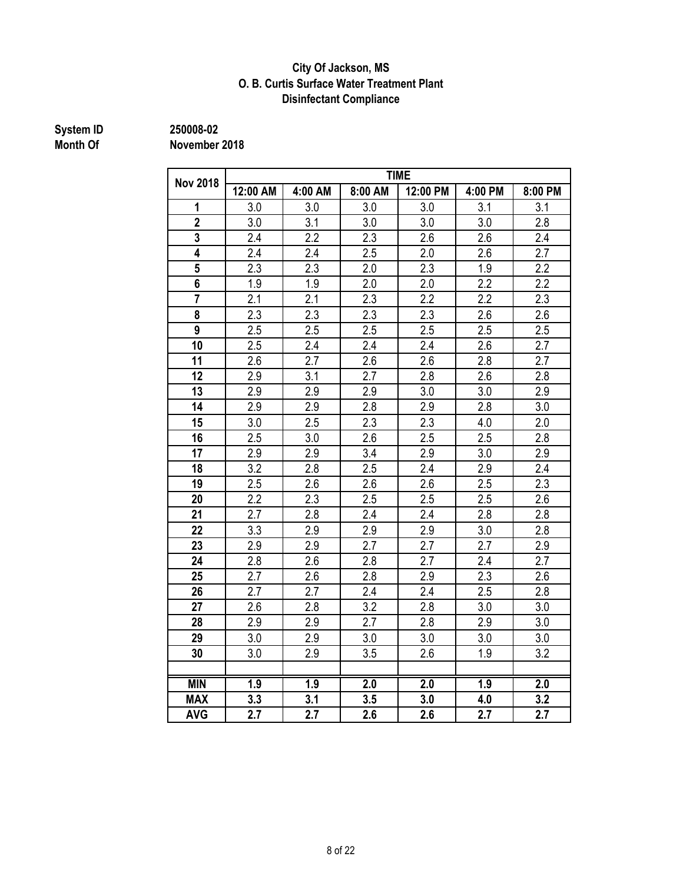#### **City Of Jackson, MS O. B. Curtis Surface Water Treatment Plant Disinfectant Compliance**

# **System ID 250008-02**

| <b>Nov 2018</b> | <b>TIME</b>      |         |         |          |         |                  |  |
|-----------------|------------------|---------|---------|----------|---------|------------------|--|
|                 | 12:00 AM         | 4:00 AM | 8:00 AM | 12:00 PM | 4:00 PM | 8:00 PM          |  |
| 1               | 3.0              | 3.0     | 3.0     | 3.0      | 3.1     | 3.1              |  |
| $\overline{2}$  | 3.0              | 3.1     | 3.0     | 3.0      | 3.0     | 2.8              |  |
| 3               | 2.4              | 2.2     | 2.3     | 2.6      | 2.6     | 2.4              |  |
| 4               | 2.4              | 2.4     | 2.5     | 2.0      | 2.6     | 2.7              |  |
| 5               | 2.3              | 2.3     | 2.0     | 2.3      | 1.9     | 2.2              |  |
| 6               | 1.9              | 1.9     | 2.0     | 2.0      | 2.2     | 2.2              |  |
| $\overline{7}$  | 2.1              | 2.1     | 2.3     | 2.2      | 2.2     | 2.3              |  |
| 8               | $\overline{2.3}$ | 2.3     | 2.3     | 2.3      | 2.6     | 2.6              |  |
| 9               | 2.5              | 2.5     | 2.5     | 2.5      | 2.5     | 2.5              |  |
| 10              | 2.5              | 2.4     | 2.4     | 2.4      | 2.6     | 2.7              |  |
| 11              | 2.6              | 2.7     | 2.6     | 2.6      | 2.8     | 2.7              |  |
| 12              | 2.9              | 3.1     | 2.7     | 2.8      | 2.6     | 2.8              |  |
| 13              | 2.9              | 2.9     | 2.9     | 3.0      | 3.0     | 2.9              |  |
| 14              | 2.9              | 2.9     | 2.8     | 2.9      | 2.8     | 3.0              |  |
| 15              | 3.0              | 2.5     | 2.3     | 2.3      | 4.0     | 2.0              |  |
| 16              | 2.5              | 3.0     | 2.6     | 2.5      | 2.5     | 2.8              |  |
| 17              | 2.9              | 2.9     | 3.4     | 2.9      | 3.0     | 2.9              |  |
| 18              | 3.2              | 2.8     | 2.5     | 2.4      | 2.9     | 2.4              |  |
| 19              | 2.5              | 2.6     | 2.6     | 2.6      | 2.5     | 2.3              |  |
| 20              | 2.2              | 2.3     | 2.5     | 2.5      | 2.5     | 2.6              |  |
| 21              | 2.7              | 2.8     | 2.4     | 2.4      | 2.8     | 2.8              |  |
| 22              | 3.3              | 2.9     | 2.9     | 2.9      | 3.0     | 2.8              |  |
| 23              | 2.9              | 2.9     | 2.7     | 2.7      | 2.7     | 2.9              |  |
| 24              | 2.8              | 2.6     | 2.8     | 2.7      | 2.4     | 2.7              |  |
| 25              | 2.7              | 2.6     | 2.8     | 2.9      | 2.3     | 2.6              |  |
| 26              | 2.7              | 2.7     | 2.4     | 2.4      | 2.5     | 2.8              |  |
| 27              | 2.6              | 2.8     | 3.2     | 2.8      | 3.0     | 3.0              |  |
| 28              | 2.9              | 2.9     | 2.7     | 2.8      | 2.9     | 3.0              |  |
| 29              | 3.0              | 2.9     | 3.0     | 3.0      | 3.0     | 3.0              |  |
| 30              | 3.0              | 2.9     | 3.5     | 2.6      | 1.9     | 3.2              |  |
|                 |                  |         |         |          |         |                  |  |
| <b>MIN</b>      | 1.9              | 1.9     | 2.0     | 2.0      | 1.9     | $\overline{2.0}$ |  |
| <b>MAX</b>      | 3.3              | 3.1     | 3.5     | 3.0      | 4.0     | 3.2              |  |
| <b>AVG</b>      | 2.7              | 2.7     | 2.6     | 2.6      | 2.7     | 2.7              |  |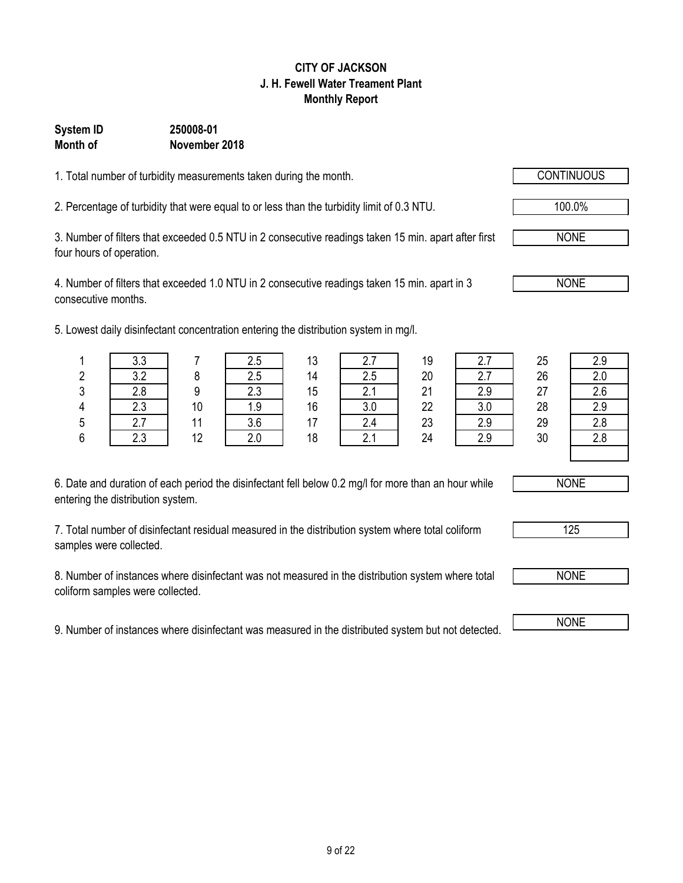### 9 of 22

#### **CITY OF JACKSON J. H. Fewell Water Treament Plant Monthly Report**

### **System ID 250008-01 Month of November 2018**

1. Total number of turbidity measurements taken during the month.

2. Percentage of turbidity that were equal to or less than the turbidity limit of 0.3 NTU. 100.0%

3. Number of filters that exceeded 0.5 NTU in 2 consecutive readings taken 15 min. apart after first four hours of operation.

4. Number of filters that exceeded 1.0 NTU in 2 consecutive readings taken 15 min. apart in 3 consecutive months.

5. Lowest daily disinfectant concentration entering the distribution system in mg/l.

| 6. Date and duration of each period the disinfectant fell below 0.2 mg/l for more than an hour while |  |
|------------------------------------------------------------------------------------------------------|--|
| entering the distribution system.                                                                    |  |

7. Total number of disinfectant residual measured in the distribution system where total coliform samples were collected.

8. Number of instances where disinfectant was not measured in the distribution system where total coliform samples were collected.

9. Number of instances where disinfectant was measured in the distributed system but not detected. NONE

|               | wood daily dibilities talk conservation critering the dibilibation by Stern in High. |               |     |               |      |      |     |    |     |
|---------------|--------------------------------------------------------------------------------------|---------------|-----|---------------|------|------|-----|----|-----|
|               | 3.3                                                                                  |               | 2.5 | 13            |      | 19   |     | 25 | 2.9 |
| ົ<br><u>L</u> | າາ                                                                                   |               | 2.5 | 14            | د.2  | 20   |     | 26 |     |
| ົ<br>J        | 2.8                                                                                  |               | 2.3 | 15            |      | 21   | 2.9 | 27 | 2.6 |
| 4             | 2.3                                                                                  | 10            | 1.9 | 16            | J.U  | 22   |     | 28 | 2.9 |
| 5             |                                                                                      |               | 3.6 |               | 2.4  | 23   |     | 29 |     |
|               |                                                                                      | $\sim$ $\sim$ | - - | $\sim$ $\sim$ | $ -$ | $ -$ |     |    |     |

|         | פ פ<br>ບ.ບ          |    | 2.5 | - 12<br>ں ا | n 7<br>$\sim$    | 19 | n               | 25 | ס כי     |
|---------|---------------------|----|-----|-------------|------------------|----|-----------------|----|----------|
| ົ<br>4  | າ າ<br>J.L          |    | 2.5 | 14          | 2.5              | 20 | n 7<br><u>.</u> | 26 | $\Omega$ |
| C.<br>J | 2.8                 |    | 2.3 | 15          | 2.1              | 21 | 2.9             | 27 | 2.6      |
| 4       | 2.3                 | 10 | 1.9 | 16          | 3.0              | 22 | 3.0             | 28 | 2.9      |
| 5       | $\overline{ }$<br>i | 44 | 3.6 | 17          | 2.4              | 23 | 2.9             | 29 | $\Omega$ |
| 6       | 2.3                 | 12 | 2.0 | 18          | $\sim$ $\lambda$ | 24 | 2.9             | 30 | ററ       |
|         |                     |    |     |             |                  |    |                 |    |          |



NONE

NONE

NONE

125

NONE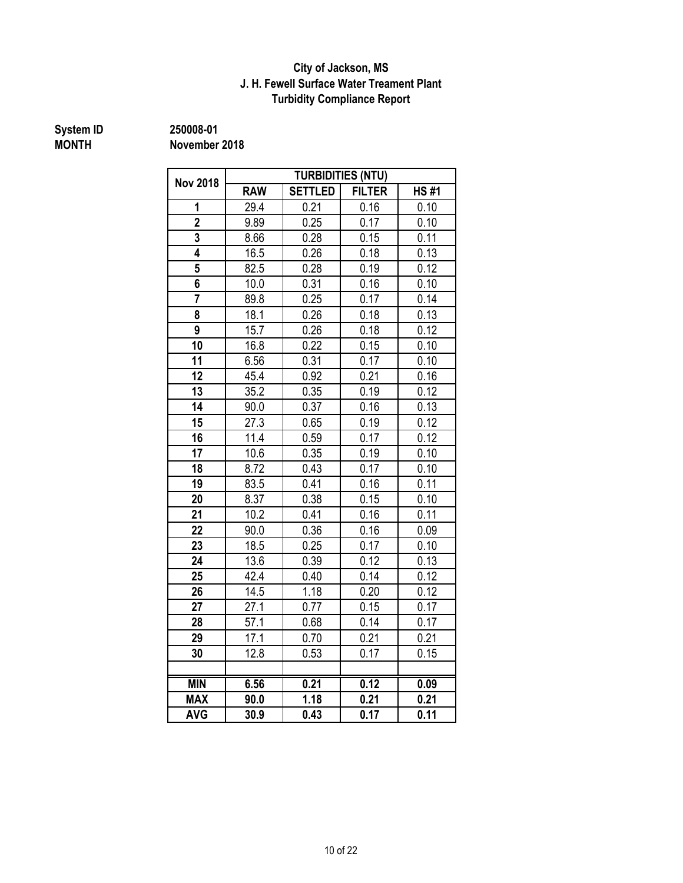#### **J. H. Fewell Surface Water Treament Plant Turbidity Compliance Report City of Jackson, MS**

# **System ID** 250008-01<br>MONTH November

**MONTH November 2018**

| <b>Nov 2018</b> |            |                | <b>TURBIDITIES (NTU)</b> |                   |
|-----------------|------------|----------------|--------------------------|-------------------|
|                 | <b>RAW</b> | <b>SETTLED</b> | <b>FILTER</b>            | <b>HS#1</b>       |
| 1               | 29.4       | 0.21           | 0.16                     | 0.10              |
| $\overline{2}$  | 9.89       | 0.25           | 0.17                     | 0.10              |
| 3               | 8.66       | 0.28           | 0.15                     | 0.11              |
| 4               | 16.5       | 0.26           | 0.18                     | 0.13              |
| 5               | 82.5       | 0.28           | 0.19                     | 0.12              |
| 6               | 10.0       | 0.31           | 0.16                     | 0.10              |
| $\overline{7}$  | 89.8       | 0.25           | 0.17                     | $0.\overline{14}$ |
| 8               | 18.1       | 0.26           | 0.18                     | 0.13              |
| 9               | 15.7       | 0.26           | 0.18                     | 0.12              |
| 10              | 16.8       | 0.22           | 0.15                     | 0.10              |
| 11              | 6.56       | 0.31           | 0.17                     | 0.10              |
| 12              | 45.4       | 0.92           | 0.21                     | 0.16              |
| 13              | 35.2       | 0.35           | 0.19                     | 0.12              |
| 14              | 90.0       | 0.37           | 0.16                     | 0.13              |
| 15              | 27.3       | 0.65           | 0.19                     | 0.12              |
| 16              | 11.4       | 0.59           | 0.17                     | 0.12              |
| 17              | 10.6       | 0.35           | 0.19                     | 0.10              |
| 18              | 8.72       | 0.43           | 0.17                     | 0.10              |
| 19              | 83.5       | 0.41           | 0.16                     | 0.11              |
| 20              | 8.37       | 0.38           | 0.15                     | 0.10              |
| 21              | 10.2       | 0.41           | 0.16                     | 0.11              |
| 22              | 90.0       | 0.36           | 0.16                     | 0.09              |
| 23              | 18.5       | 0.25           | 0.17                     | 0.10              |
| 24              | 13.6       | 0.39           | 0.12                     | 0.13              |
| 25              | 42.4       | 0.40           | 0.14                     | 0.12              |
| 26              | 14.5       | 1.18           | 0.20                     | 0.12              |
| 27              | 27.1       | 0.77           | 0.15                     | 0.17              |
| 28              | 57.1       | 0.68           | 0.14                     | 0.17              |
| 29              | 17.1       | 0.70           | 0.21                     | 0.21              |
| 30              | 12.8       | 0.53           | 0.17                     | 0.15              |
|                 |            |                |                          |                   |
| <b>MIN</b>      | 6.56       | 0.21           | 0.12                     | 0.09              |
| <b>MAX</b>      | 90.0       | 1.18           | 0.21                     | 0.21              |
| <b>AVG</b>      | 30.9       | 0.43           | 0.17                     | 0.11              |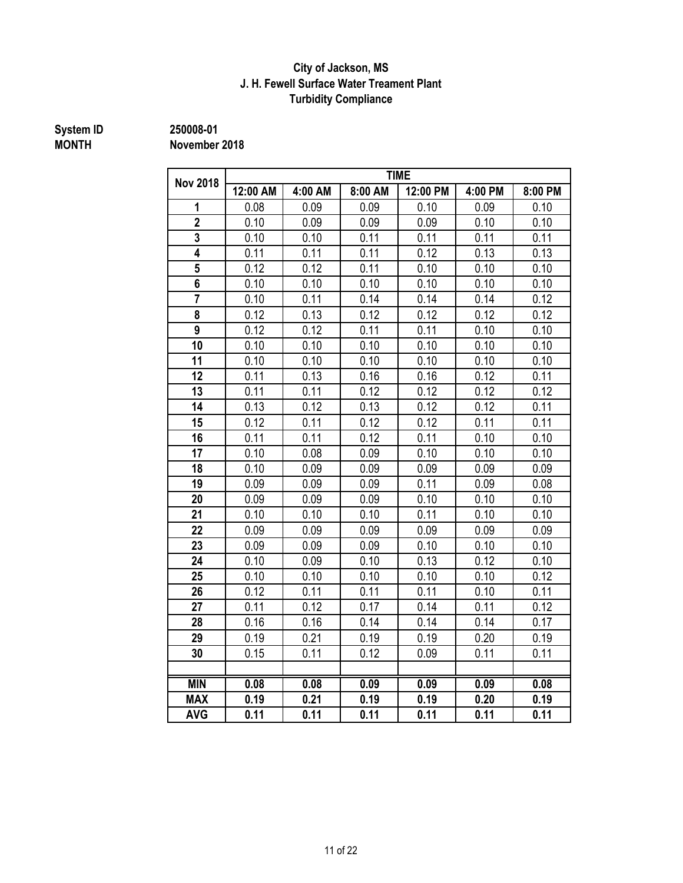#### **J. H. Fewell Surface Water Treament Plant Turbidity Compliance City of Jackson, MS**

**System ID 250008-01**

**MONTH November 2018**

| <b>Nov 2018</b> |          |         |         | <b>TIME</b> |         |         |
|-----------------|----------|---------|---------|-------------|---------|---------|
|                 | 12:00 AM | 4:00 AM | 8:00 AM | 12:00 PM    | 4:00 PM | 8:00 PM |
| 1               | 0.08     | 0.09    | 0.09    | 0.10        | 0.09    | 0.10    |
| $\overline{2}$  | 0.10     | 0.09    | 0.09    | 0.09        | 0.10    | 0.10    |
| 3               | 0.10     | 0.10    | 0.11    | 0.11        | 0.11    | 0.11    |
| 4               | 0.11     | 0.11    | 0.11    | 0.12        | 0.13    | 0.13    |
| 5               | 0.12     | 0.12    | 0.11    | 0.10        | 0.10    | 0.10    |
| 6               | 0.10     | 0.10    | 0.10    | 0.10        | 0.10    | 0.10    |
| $\overline{7}$  | 0.10     | 0.11    | 0.14    | 0.14        | 0.14    | 0.12    |
| 8               | 0.12     | 0.13    | 0.12    | 0.12        | 0.12    | 0.12    |
| 9               | 0.12     | 0.12    | 0.11    | 0.11        | 0.10    | 0.10    |
| 10              | 0.10     | 0.10    | 0.10    | 0.10        | 0.10    | 0.10    |
| 11              | 0.10     | 0.10    | 0.10    | 0.10        | 0.10    | 0.10    |
| 12              | 0.11     | 0.13    | 0.16    | 0.16        | 0.12    | 0.11    |
| 13              | 0.11     | 0.11    | 0.12    | 0.12        | 0.12    | 0.12    |
| 14              | 0.13     | 0.12    | 0.13    | 0.12        | 0.12    | 0.11    |
| 15              | 0.12     | 0.11    | 0.12    | 0.12        | 0.11    | 0.11    |
| 16              | 0.11     | 0.11    | 0.12    | 0.11        | 0.10    | 0.10    |
| 17              | 0.10     | 0.08    | 0.09    | 0.10        | 0.10    | 0.10    |
| 18              | 0.10     | 0.09    | 0.09    | 0.09        | 0.09    | 0.09    |
| 19              | 0.09     | 0.09    | 0.09    | 0.11        | 0.09    | 0.08    |
| 20              | 0.09     | 0.09    | 0.09    | 0.10        | 0.10    | 0.10    |
| 21              | 0.10     | 0.10    | 0.10    | 0.11        | 0.10    | 0.10    |
| 22              | 0.09     | 0.09    | 0.09    | 0.09        | 0.09    | 0.09    |
| 23              | 0.09     | 0.09    | 0.09    | 0.10        | 0.10    | 0.10    |
| 24              | 0.10     | 0.09    | 0.10    | 0.13        | 0.12    | 0.10    |
| 25              | 0.10     | 0.10    | 0.10    | 0.10        | 0.10    | 0.12    |
| 26              | 0.12     | 0.11    | 0.11    | 0.11        | 0.10    | 0.11    |
| 27              | 0.11     | 0.12    | 0.17    | 0.14        | 0.11    | 0.12    |
| 28              | 0.16     | 0.16    | 0.14    | 0.14        | 0.14    | 0.17    |
| 29              | 0.19     | 0.21    | 0.19    | 0.19        | 0.20    | 0.19    |
| 30              | 0.15     | 0.11    | 0.12    | 0.09        | 0.11    | 0.11    |
|                 |          |         |         |             |         |         |
| <b>MIN</b>      | 0.08     | 0.08    | 0.09    | 0.09        | 0.09    | 0.08    |
| <b>MAX</b>      | 0.19     | 0.21    | 0.19    | 0.19        | 0.20    | 0.19    |
| <b>AVG</b>      | 0.11     | 0.11    | 0.11    | 0.11        | 0.11    | 0.11    |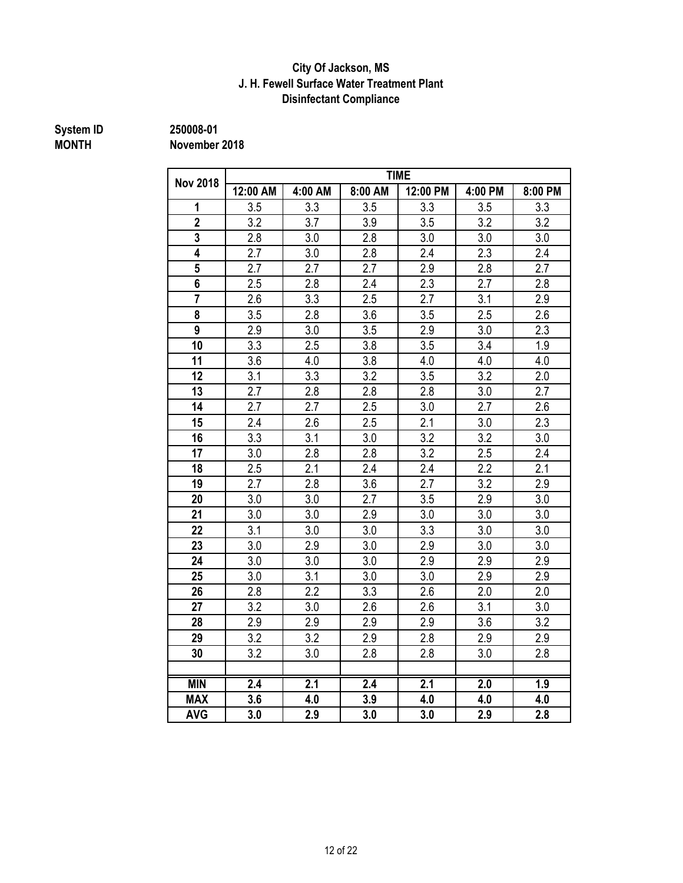### **Disinfectant Compliance City Of Jackson, MS J. H. Fewell Surface Water Treatment Plant**

# **System ID** 250008-01<br>MONTH November

**MONTH November 2018**

|                         |          |         |         | <b>TIME</b> |         |                  |
|-------------------------|----------|---------|---------|-------------|---------|------------------|
| <b>Nov 2018</b>         | 12:00 AM | 4:00 AM | 8:00 AM | 12:00 PM    | 4:00 PM | 8:00 PM          |
| 1                       | 3.5      | 3.3     | 3.5     | 3.3         | 3.5     | 3.3              |
| $\overline{2}$          | 3.2      | 3.7     | 3.9     | 3.5         | 3.2     | 3.2              |
| 3                       | 2.8      | 3.0     | 2.8     | 3.0         | 3.0     | 3.0              |
| 4                       | 2.7      | 3.0     | 2.8     | 2.4         | 2.3     | 2.4              |
| 5                       | 2.7      | 2.7     | 2.7     | 2.9         | 2.8     | 2.7              |
| $\overline{\mathbf{6}}$ | 2.5      | 2.8     | 2.4     | 2.3         | 2.7     | 2.8              |
| $\overline{7}$          | 2.6      | 3.3     | 2.5     | 2.7         | 3.1     | 2.9              |
| 8                       | 3.5      | 2.8     | 3.6     | 3.5         | 2.5     | 2.6              |
| $\overline{9}$          | 2.9      | 3.0     | 3.5     | 2.9         | 3.0     | 2.3              |
| 10                      | 3.3      | 2.5     | 3.8     | 3.5         | 3.4     | 1.9              |
| 11                      | 3.6      | 4.0     | 3.8     | 4.0         | 4.0     | 4.0              |
| 12                      | 3.1      | 3.3     | 3.2     | 3.5         | 3.2     | 2.0              |
| 13                      | 2.7      | 2.8     | 2.8     | 2.8         | 3.0     | 2.7              |
| 14                      | 2.7      | 2.7     | 2.5     | 3.0         | 2.7     | 2.6              |
| 15                      | 2.4      | 2.6     | 2.5     | 2.1         | 3.0     | 2.3              |
| 16                      | 3.3      | 3.1     | 3.0     | 3.2         | 3.2     | 3.0              |
| 17                      | 3.0      | 2.8     | 2.8     | 3.2         | 2.5     | 2.4              |
| 18                      | 2.5      | 2.1     | 2.4     | 2.4         | 2.2     | $\overline{2.1}$ |
| 19                      | 2.7      | 2.8     | 3.6     | 2.7         | 3.2     | 2.9              |
| 20                      | 3.0      | 3.0     | 2.7     | 3.5         | 2.9     | 3.0              |
| 21                      | 3.0      | 3.0     | 2.9     | 3.0         | 3.0     | 3.0              |
| 22                      | 3.1      | 3.0     | 3.0     | 3.3         | 3.0     | 3.0              |
| 23                      | 3.0      | 2.9     | 3.0     | 2.9         | 3.0     | 3.0              |
| 24                      | 3.0      | 3.0     | 3.0     | 2.9         | 2.9     | 2.9              |
| 25                      | 3.0      | 3.1     | 3.0     | 3.0         | 2.9     | 2.9              |
| 26                      | 2.8      | 2.2     | 3.3     | 2.6         | 2.0     | 2.0              |
| 27                      | 3.2      | 3.0     | 2.6     | 2.6         | 3.1     | 3.0              |
| 28                      | 2.9      | 2.9     | 2.9     | 2.9         | 3.6     | 3.2              |
| 29                      | 3.2      | 3.2     | 2.9     | 2.8         | 2.9     | 2.9              |
| 30                      | 3.2      | 3.0     | 2.8     | 2.8         | 3.0     | 2.8              |
|                         |          |         |         |             |         |                  |
| <b>MIN</b>              | 2.4      | 2.1     | 2.4     | 2.1         | 2.0     | 1.9              |
| <b>MAX</b>              | 3.6      | 4.0     | 3.9     | 4.0         | 4.0     | 4.0              |
| <b>AVG</b>              | 3.0      | 2.9     | 3.0     | 3.0         | 2.9     | 2.8              |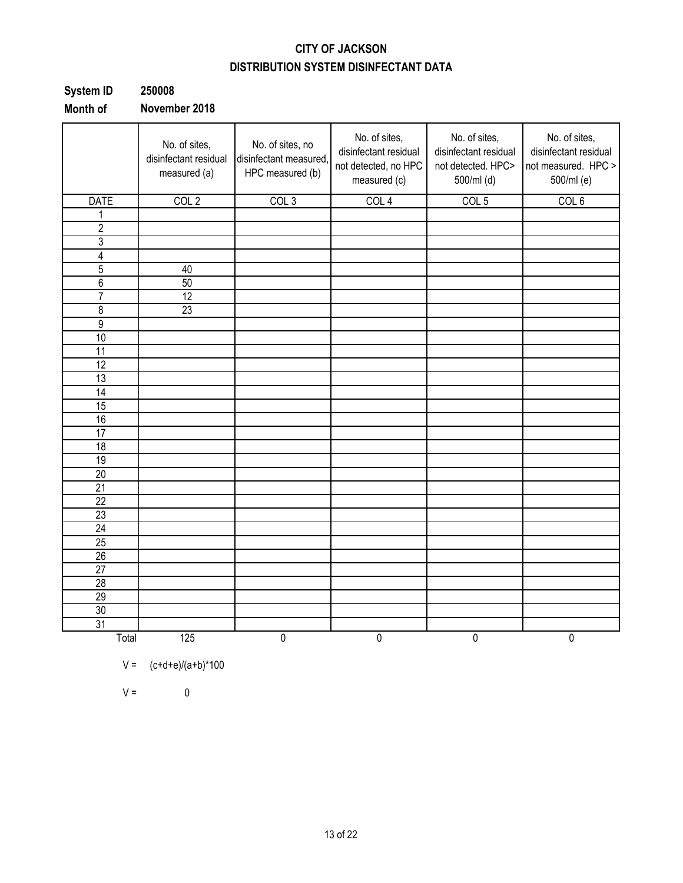### **CITY OF JACKSON DISTRIBUTION SYSTEM DISINFECTANT DATA**

| System ID    | 250008             |
|--------------|--------------------|
| $M = 11 - 1$ | National Accordion |

**Month of November 2018**

|                 | No. of sites,<br>disinfectant residual<br>measured (a) | No. of sites, no<br>disinfectant measured,<br>HPC measured (b) | No. of sites,<br>disinfectant residual<br>not detected, no HPC<br>measured (c) | No. of sites,<br>disinfectant residual<br>not detected. HPC><br>500/ml (d) | No. of sites,<br>disinfectant residual<br>not measured. HPC ><br>500/ml (e) |
|-----------------|--------------------------------------------------------|----------------------------------------------------------------|--------------------------------------------------------------------------------|----------------------------------------------------------------------------|-----------------------------------------------------------------------------|
| <b>DATE</b>     | COL <sub>2</sub>                                       | COL <sub>3</sub>                                               | COL <sub>4</sub>                                                               | COL <sub>5</sub>                                                           | COL 6                                                                       |
| 1               |                                                        |                                                                |                                                                                |                                                                            |                                                                             |
| $\overline{c}$  |                                                        |                                                                |                                                                                |                                                                            |                                                                             |
| $\overline{3}$  |                                                        |                                                                |                                                                                |                                                                            |                                                                             |
| $\overline{4}$  |                                                        |                                                                |                                                                                |                                                                            |                                                                             |
| 5               | $40\,$                                                 |                                                                |                                                                                |                                                                            |                                                                             |
| $\overline{6}$  | 50                                                     |                                                                |                                                                                |                                                                            |                                                                             |
| $\overline{7}$  | $\overline{12}$                                        |                                                                |                                                                                |                                                                            |                                                                             |
| 8               | 23                                                     |                                                                |                                                                                |                                                                            |                                                                             |
| $\overline{9}$  |                                                        |                                                                |                                                                                |                                                                            |                                                                             |
| 10              |                                                        |                                                                |                                                                                |                                                                            |                                                                             |
| $\overline{11}$ |                                                        |                                                                |                                                                                |                                                                            |                                                                             |
| 12              |                                                        |                                                                |                                                                                |                                                                            |                                                                             |
| 13              |                                                        |                                                                |                                                                                |                                                                            |                                                                             |
| $\overline{14}$ |                                                        |                                                                |                                                                                |                                                                            |                                                                             |
| 15              |                                                        |                                                                |                                                                                |                                                                            |                                                                             |
| 16              |                                                        |                                                                |                                                                                |                                                                            |                                                                             |
| 17              |                                                        |                                                                |                                                                                |                                                                            |                                                                             |
| $\overline{18}$ |                                                        |                                                                |                                                                                |                                                                            |                                                                             |
| 19              |                                                        |                                                                |                                                                                |                                                                            |                                                                             |
| $\overline{20}$ |                                                        |                                                                |                                                                                |                                                                            |                                                                             |
| 21              |                                                        |                                                                |                                                                                |                                                                            |                                                                             |
| 22              |                                                        |                                                                |                                                                                |                                                                            |                                                                             |
| 23              |                                                        |                                                                |                                                                                |                                                                            |                                                                             |
| 24              |                                                        |                                                                |                                                                                |                                                                            |                                                                             |
| $\overline{25}$ |                                                        |                                                                |                                                                                |                                                                            |                                                                             |
| 26              |                                                        |                                                                |                                                                                |                                                                            |                                                                             |
| 27              |                                                        |                                                                |                                                                                |                                                                            |                                                                             |
| 28              |                                                        |                                                                |                                                                                |                                                                            |                                                                             |
| 29              |                                                        |                                                                |                                                                                |                                                                            |                                                                             |
| 30              |                                                        |                                                                |                                                                                |                                                                            |                                                                             |
| 31              |                                                        |                                                                |                                                                                |                                                                            |                                                                             |
| Total           | 125                                                    | 0                                                              | $\pmb{0}$                                                                      | 0                                                                          | $\pmb{0}$                                                                   |

$$
V =
$$
  $(c+d+e)/(a+b)*100$ 

 $V = 0$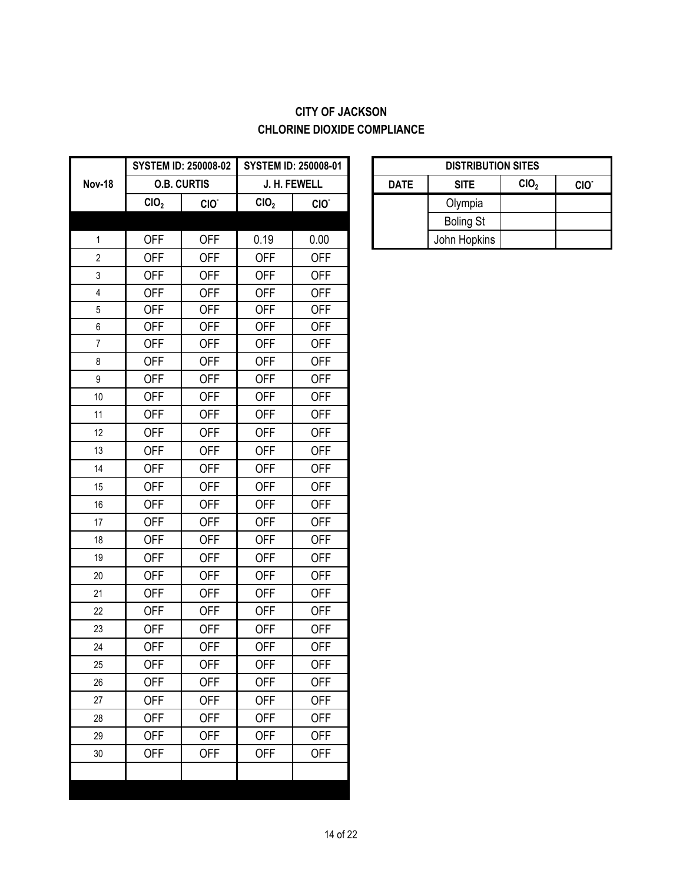### **CITY OF JACKSON CHLORINE DIOXIDE COMPLIANCE**

|                  |                  | <b>SYSTEM ID: 250008-02</b> |                  | <b>SYSTEM ID: 250008-01</b> |             | <b>DISTRIBUT</b> |
|------------------|------------------|-----------------------------|------------------|-----------------------------|-------------|------------------|
| <b>Nov-18</b>    |                  | <b>O.B. CURTIS</b>          |                  | J. H. FEWELL                | <b>DATE</b> | <b>SITE</b>      |
|                  | CIO <sub>2</sub> | CIO.                        | CIO <sub>2</sub> | CIO.                        |             | Olympia          |
|                  |                  |                             |                  |                             |             | <b>Boling St</b> |
| $\mathbf{1}$     | <b>OFF</b>       | <b>OFF</b>                  | 0.19             | 0.00                        |             | John Hopkins     |
| $\overline{c}$   | <b>OFF</b>       | <b>OFF</b>                  | <b>OFF</b>       | <b>OFF</b>                  |             |                  |
| 3                | <b>OFF</b>       | <b>OFF</b>                  | <b>OFF</b>       | <b>OFF</b>                  |             |                  |
| 4                | <b>OFF</b>       | <b>OFF</b>                  | <b>OFF</b>       | <b>OFF</b>                  |             |                  |
| $\overline{5}$   | <b>OFF</b>       | <b>OFF</b>                  | <b>OFF</b>       | <b>OFF</b>                  |             |                  |
| $\,6\,$          | <b>OFF</b>       | <b>OFF</b>                  | <b>OFF</b>       | <b>OFF</b>                  |             |                  |
| $\overline{7}$   | <b>OFF</b>       | <b>OFF</b>                  | <b>OFF</b>       | <b>OFF</b>                  |             |                  |
| 8                | <b>OFF</b>       | <b>OFF</b>                  | <b>OFF</b>       | <b>OFF</b>                  |             |                  |
| $\boldsymbol{9}$ | <b>OFF</b>       | <b>OFF</b>                  | <b>OFF</b>       | <b>OFF</b>                  |             |                  |
| 10               | <b>OFF</b>       | <b>OFF</b>                  | <b>OFF</b>       | <b>OFF</b>                  |             |                  |
| 11               | <b>OFF</b>       | <b>OFF</b>                  | <b>OFF</b>       | <b>OFF</b>                  |             |                  |
| 12               | <b>OFF</b>       | <b>OFF</b>                  | <b>OFF</b>       | <b>OFF</b>                  |             |                  |
| 13               | <b>OFF</b>       | <b>OFF</b>                  | <b>OFF</b>       | <b>OFF</b>                  |             |                  |
| 14               | <b>OFF</b>       | <b>OFF</b>                  | <b>OFF</b>       | <b>OFF</b>                  |             |                  |
| 15               | <b>OFF</b>       | <b>OFF</b>                  | <b>OFF</b>       | <b>OFF</b>                  |             |                  |
| 16               | <b>OFF</b>       | <b>OFF</b>                  | <b>OFF</b>       | <b>OFF</b>                  |             |                  |
| 17               | <b>OFF</b>       | <b>OFF</b>                  | <b>OFF</b>       | <b>OFF</b>                  |             |                  |
| 18               | <b>OFF</b>       | <b>OFF</b>                  | <b>OFF</b>       | <b>OFF</b>                  |             |                  |
| 19               | <b>OFF</b>       | <b>OFF</b>                  | <b>OFF</b>       | <b>OFF</b>                  |             |                  |
| 20               | <b>OFF</b>       | <b>OFF</b>                  | <b>OFF</b>       | <b>OFF</b>                  |             |                  |
| 21               | <b>OFF</b>       | <b>OFF</b>                  | <b>OFF</b>       | <b>OFF</b>                  |             |                  |
| 22               | <b>OFF</b>       | <b>OFF</b>                  | <b>OFF</b>       | <b>OFF</b>                  |             |                  |
| 23               | <b>OFF</b>       | <b>OFF</b>                  | <b>OFF</b>       | <b>OFF</b>                  |             |                  |
| 24               | <b>OFF</b>       | <b>OFF</b>                  | <b>OFF</b>       | <b>OFF</b>                  |             |                  |
| 25               | <b>OFF</b>       | <b>OFF</b>                  | <b>OFF</b>       | <b>OFF</b>                  |             |                  |
| 26               | <b>OFF</b>       | <b>OFF</b>                  | <b>OFF</b>       | <b>OFF</b>                  |             |                  |
| 27               | <b>OFF</b>       | <b>OFF</b>                  | <b>OFF</b>       | <b>OFF</b>                  |             |                  |
| 28               | <b>OFF</b>       | <b>OFF</b>                  | <b>OFF</b>       | <b>OFF</b>                  |             |                  |
| 29               | <b>OFF</b>       | <b>OFF</b>                  | <b>OFF</b>       | <b>OFF</b>                  |             |                  |
| 30               | <b>OFF</b>       | <b>OFF</b>                  | <b>OFF</b>       | <b>OFF</b>                  |             |                  |
|                  |                  |                             |                  |                             |             |                  |
|                  |                  |                             |                  |                             |             |                  |

| <b>DISTRIBUTION SITES</b>                                          |                  |  |  |  |  |  |  |
|--------------------------------------------------------------------|------------------|--|--|--|--|--|--|
| CIO <sub>2</sub><br><b>SITE</b><br><b>DATE</b><br>CIO <sup>®</sup> |                  |  |  |  |  |  |  |
|                                                                    | Olympia          |  |  |  |  |  |  |
|                                                                    | <b>Boling St</b> |  |  |  |  |  |  |
|                                                                    | John Hopkins     |  |  |  |  |  |  |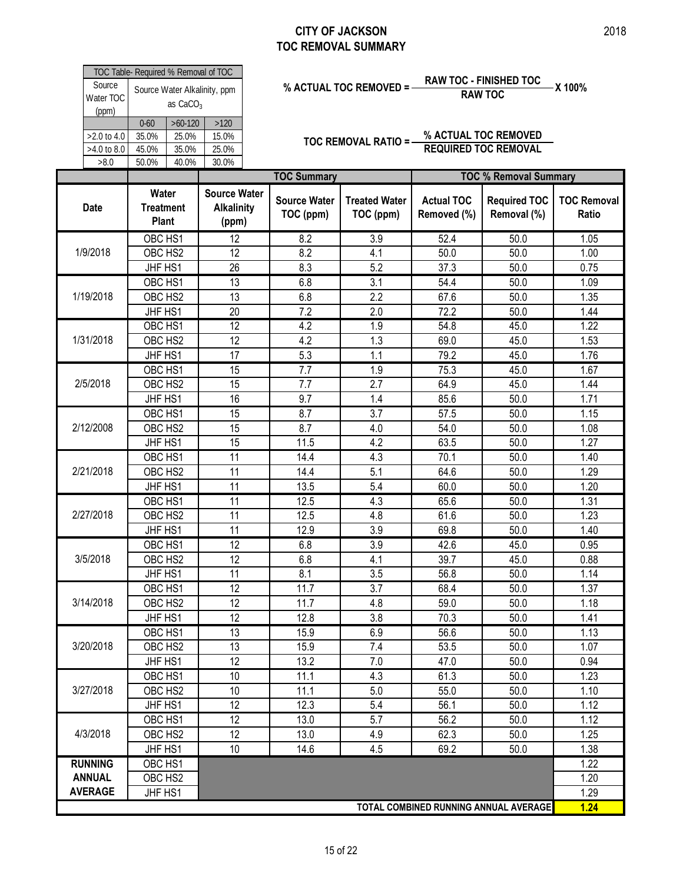|                                      | Water                         |                                            | Source Wat |  |  |  |  |
|--------------------------------------|-------------------------------|--------------------------------------------|------------|--|--|--|--|
|                                      |                               |                                            |            |  |  |  |  |
| >8.0                                 | 50.0%                         | 40.0%<br>30.0%                             |            |  |  |  |  |
| $>4.0$ to 8.0                        | 45.0%                         | 35.0%                                      | 25.0%      |  |  |  |  |
| $>2.0$ to 4.0                        | 35.0%                         | 25.0%                                      | 15.0%      |  |  |  |  |
|                                      | $>60-120$<br>$0 - 60$<br>>120 |                                            |            |  |  |  |  |
| Source<br>Water TOC<br>(ppm)         |                               | Source Water Alkalinity, ppm<br>as $CaCO3$ |            |  |  |  |  |
| TOC Table- Required % Removal of TOC |                               |                                            |            |  |  |  |  |

# **% ACTUAL TOC REMOVED = RAW TOC - FINISHED TOC X 100% RAW TOC**

| Source         | TOC Table- Required % Removal of TOC      |            | Source Water Alkalinity, ppm                      | <b>RAW TOC - FINISHED TOC</b><br>% ACTUAL TOC REMOVED = - |                                   |                                  |                                       | -X 100%                     |  |
|----------------|-------------------------------------------|------------|---------------------------------------------------|-----------------------------------------------------------|-----------------------------------|----------------------------------|---------------------------------------|-----------------------------|--|
| Water TOC      |                                           | as $CaCO3$ |                                                   |                                                           |                                   |                                  | <b>RAW TOC</b>                        |                             |  |
| (ppm)          | $0 - 60$                                  | $>60-120$  | $>120$                                            |                                                           |                                   |                                  |                                       |                             |  |
| >2.0 to 4.0    | 35.0%                                     | 25.0%      | 15.0%                                             |                                                           |                                   |                                  | % ACTUAL TOC REMOVED                  |                             |  |
| >4.0 to 8.0    | 45.0%                                     | 35.0%      | 25.0%                                             |                                                           | <b>TOC REMOVAL RATIO =-</b>       |                                  | <b>REQUIRED TOC REMOVAL</b>           |                             |  |
| >8.0           | 50.0%                                     | 40.0%      | 30.0%                                             |                                                           |                                   |                                  |                                       |                             |  |
|                |                                           |            |                                                   | <b>TOC Summary</b>                                        |                                   |                                  | <b>TOC % Removal Summary</b>          |                             |  |
| <b>Date</b>    | Water<br><b>Treatment</b><br><b>Plant</b> |            | <b>Source Water</b><br><b>Alkalinity</b><br>(ppm) | <b>Source Water</b><br>TOC (ppm)                          | <b>Treated Water</b><br>TOC (ppm) | <b>Actual TOC</b><br>Removed (%) | <b>Required TOC</b><br>Removal (%)    | <b>TOC Removal</b><br>Ratio |  |
|                | OBC HS1                                   |            | 12                                                | 8.2                                                       | 3.9                               | 52.4                             | 50.0                                  | 1.05                        |  |
| 1/9/2018       | OBC HS2                                   |            | 12                                                | 8.2                                                       | 4.1                               | 50.0                             | 50.0                                  | 1.00                        |  |
|                | JHF HS1                                   |            | 26                                                | 8.3                                                       | 5.2                               | 37.3                             | 50.0                                  | 0.75                        |  |
|                | OBC HS1                                   |            | 13                                                | 6.8                                                       | 3.1                               | 54.4                             | 50.0                                  | 1.09                        |  |
| 1/19/2018      | OBC HS2                                   |            | 13                                                | 6.8                                                       | 2.2                               | 67.6                             | 50.0                                  | 1.35                        |  |
|                | JHF HS1                                   |            | 20                                                | 7.2                                                       | 2.0                               | 72.2                             | 50.0                                  | 1.44                        |  |
|                | OBC HS1                                   |            | 12                                                | 4.2                                                       | 1.9                               | 54.8                             | 45.0                                  | 1.22                        |  |
| 1/31/2018      | OBC HS2                                   |            | 12                                                | 4.2                                                       | 1.3                               | 69.0                             | 45.0                                  | 1.53                        |  |
|                | JHF HS1                                   |            | 17                                                | 5.3                                                       | 1.1                               | 79.2                             | 45.0                                  | 1.76                        |  |
|                | OBC HS1                                   |            | $\overline{15}$                                   | $\overline{7.7}$                                          | 1.9                               | 75.3                             | 45.0                                  | 1.67                        |  |
| 2/5/2018       | OBC HS2                                   |            | 15                                                | 7.7                                                       | 2.7                               | 64.9                             | 45.0                                  | 1.44                        |  |
|                | JHF HS1                                   |            | 16                                                | 9.7                                                       | 1.4                               | 85.6                             | 50.0                                  | 1.71                        |  |
|                | OBC HS1                                   |            | 15                                                | 8.7                                                       | 3.7                               | 57.5                             | 50.0                                  | 1.15                        |  |
| 2/12/2008      | OBC HS2                                   |            | 15                                                | 8.7                                                       | 4.0                               | 54.0                             | 50.0                                  | 1.08                        |  |
|                | JHF HS1                                   |            | 15                                                | 11.5                                                      | 4.2                               | 63.5                             | 50.0                                  | 1.27                        |  |
|                | OBC HS1                                   |            | $\overline{11}$                                   | 14.4                                                      | 4.3                               | 70.1                             | 50.0                                  | 1.40                        |  |
| 2/21/2018      | OBC HS2                                   |            | 11                                                | 14.4                                                      | 5.1                               | 64.6                             | 50.0                                  | 1.29                        |  |
|                | JHF HS1                                   |            | 11                                                | 13.5                                                      | 5.4                               | 60.0                             | 50.0                                  | 1.20                        |  |
|                | OBC HS1                                   |            | 11                                                | 12.5                                                      | 4.3                               | 65.6                             | 50.0                                  | 1.31                        |  |
| 2/27/2018      | OBC HS2                                   |            | 11                                                | 12.5                                                      | 4.8                               | 61.6                             | 50.0                                  | 1.23                        |  |
|                | JHF HS1                                   |            | 11                                                | 12.9                                                      | 3.9                               | 69.8                             | 50.0                                  | 1.40                        |  |
|                | OBC HS1                                   |            | $\overline{12}$                                   | 6.8                                                       | 3.9                               | 42.6                             | 45.0                                  | 0.95                        |  |
| 3/5/2018       | OBC HS2                                   |            | 12                                                | 6.8                                                       | 4.1                               | 39.7                             | 45.0                                  | 0.88                        |  |
|                | JHF HS1                                   |            | 11                                                | 8.1                                                       | 3.5                               | 56.8                             | 50.0                                  | 1.14                        |  |
|                | OBC HS1                                   |            | $\overline{12}$                                   | 11.7                                                      | 3.7                               | 68.4                             | 50.0                                  | 1.37                        |  |
| 3/14/2018      | OBC HS2                                   |            | 12                                                | 11.7                                                      | 4.8                               | 59.0                             | 50.0                                  | 1.18                        |  |
|                | JHF HS1                                   |            | 12                                                | 12.8                                                      | 3.8                               | 70.3                             | 50.0                                  | 1.41                        |  |
|                | OBC HS1                                   |            | $\overline{13}$                                   | 15.9                                                      | 6.9                               | 56.6                             | 50.0                                  | 1.13                        |  |
| 3/20/2018      | OBC HS2                                   |            | 13                                                | 15.9                                                      | 7.4                               | 53.5                             | 50.0                                  | 1.07                        |  |
|                | JHF HS1                                   |            | 12                                                | 13.2                                                      | 7.0                               | 47.0                             | 50.0                                  | 0.94                        |  |
|                | OBC HS1                                   |            | 10                                                | 11.1                                                      | 4.3                               | 61.3                             | 50.0                                  | 1.23                        |  |
| 3/27/2018      | OBC HS2                                   |            | 10                                                | 11.1                                                      | 5.0                               | 55.0                             | 50.0                                  | 1.10                        |  |
|                | JHF HS1                                   |            | 12                                                | 12.3                                                      | 5.4                               | 56.1                             | 50.0                                  | 1.12                        |  |
|                | OBC HS1                                   |            | $\overline{12}$                                   | 13.0                                                      | 5.7                               | 56.2                             | 50.0                                  | 1.12                        |  |
| 4/3/2018       | OBC HS2                                   |            | 12                                                | 13.0                                                      | 4.9                               | 62.3                             | 50.0                                  | 1.25                        |  |
|                | JHF HS1                                   |            | 10                                                | 14.6                                                      | 4.5                               | 69.2                             | 50.0                                  | 1.38                        |  |
| <b>RUNNING</b> | OBC HS1                                   |            |                                                   |                                                           |                                   |                                  |                                       | 1.22                        |  |
| <b>ANNUAL</b>  | OBC HS2                                   |            |                                                   |                                                           |                                   |                                  |                                       | 1.20                        |  |
| <b>AVERAGE</b> | JHF HS1                                   |            |                                                   |                                                           |                                   |                                  |                                       | 1.29                        |  |
|                |                                           |            |                                                   |                                                           |                                   |                                  | TOTAL COMBINED RUNNING ANNUAL AVERAGE | 1.24                        |  |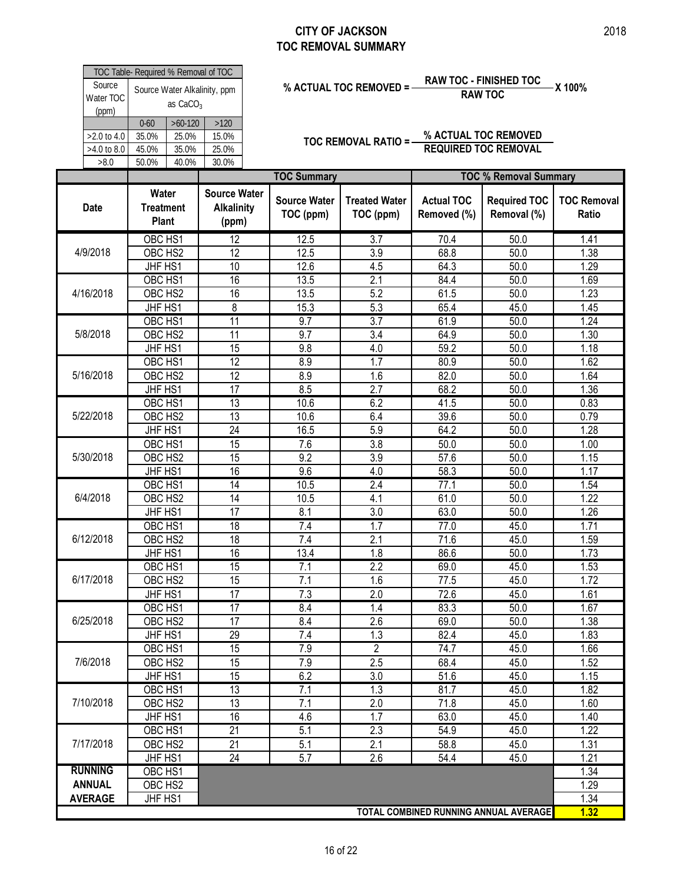| Source                       | TOC Table- Required % Removal of TOC |                             |                                    | <b>RAW TOC - FINISHED TOC</b><br>% ACTUAL TOC REMOVED =<br>X 100%<br><b>RAW TOC</b> |                                   |                                  |                                                     |                             |  |  |  |  |  |
|------------------------------|--------------------------------------|-----------------------------|------------------------------------|-------------------------------------------------------------------------------------|-----------------------------------|----------------------------------|-----------------------------------------------------|-----------------------------|--|--|--|--|--|
| Water TOC<br>(ppm)           |                                      | as $CaCO3$                  | Source Water Alkalinity, ppm       |                                                                                     |                                   |                                  |                                                     |                             |  |  |  |  |  |
| >2.0 to 4.0<br>$>4.0$ to 8.0 | $0 - 60$<br>35.0%<br>45.0%           | $>60-120$<br>25.0%<br>35.0% | >120<br>15.0%<br>25.0%             |                                                                                     | TOC REMOVAL RATIO =-              |                                  | % ACTUAL TOC REMOVED<br><b>REQUIRED TOC REMOVAL</b> |                             |  |  |  |  |  |
| >8.0                         | 50.0%                                | 40.0%                       | 30.0%                              | <b>TOC Summary</b>                                                                  |                                   |                                  | <b>TOC % Removal Summary</b>                        |                             |  |  |  |  |  |
|                              | Water                                |                             | <b>Source Water</b>                |                                                                                     |                                   |                                  |                                                     |                             |  |  |  |  |  |
| <b>Date</b>                  | <b>Treatment</b><br>Plant            |                             | <b>Alkalinity</b><br>(ppm)         | <b>Source Water</b><br>TOC (ppm)                                                    | <b>Treated Water</b><br>TOC (ppm) | <b>Actual TOC</b><br>Removed (%) | <b>Required TOC</b><br>Removal (%)                  | <b>TOC Removal</b><br>Ratio |  |  |  |  |  |
|                              | OBC HS1                              |                             | $\overline{12}$                    | 12.5                                                                                | $\overline{3.7}$                  | 70.4                             | 50.0                                                | 1.41                        |  |  |  |  |  |
| 4/9/2018                     | OBC HS2                              |                             | 12                                 | 12.5                                                                                | 3.9                               | 68.8                             | 50.0                                                | 1.38                        |  |  |  |  |  |
|                              | JHF HS1                              |                             | 10                                 | 12.6                                                                                | 4.5                               | 64.3                             | 50.0                                                | 1.29                        |  |  |  |  |  |
|                              | OBC HS1                              |                             | 16                                 | 13.5                                                                                | $\overline{2.1}$                  | 84.4                             | 50.0                                                | 1.69                        |  |  |  |  |  |
| 4/16/2018                    | OBC HS2                              |                             | 16                                 | 13.5                                                                                | 5.2                               | 61.5                             | 50.0                                                | 1.23                        |  |  |  |  |  |
|                              | JHF HS1                              |                             | 8                                  | 15.3                                                                                | 5.3                               | 65.4                             | 45.0                                                | 1.45                        |  |  |  |  |  |
| 5/8/2018                     | OBC HS1<br>OBC HS2                   |                             | $\overline{11}$<br>$\overline{11}$ | 9.7<br>9.7                                                                          | $\overline{3.7}$<br>3.4           | 61.9<br>64.9                     | 50.0<br>50.0                                        | 1.24<br>1.30                |  |  |  |  |  |
|                              | JHF HS1                              |                             | 15                                 | 9.8                                                                                 | 4.0                               | 59.2                             | 50.0                                                | 1.18                        |  |  |  |  |  |
|                              | OBC HS1                              |                             | 12                                 | 8.9                                                                                 | $\overline{1.7}$                  | 80.9                             | $\frac{1}{50.0}$                                    | 1.62                        |  |  |  |  |  |
| 5/16/2018                    | OBC HS2                              |                             | 12                                 | 8.9                                                                                 | 1.6                               | 82.0                             | 50.0                                                | 1.64                        |  |  |  |  |  |
|                              | JHF HS1                              |                             | $\overline{17}$                    | 8.5                                                                                 | $\overline{2.7}$                  | 68.2                             | 50.0                                                | 1.36                        |  |  |  |  |  |
|                              | OBC HS1                              |                             | $\overline{13}$                    | 10.6                                                                                | 6.2                               | 41.5                             | 50.0                                                | 0.83                        |  |  |  |  |  |
| 5/22/2018                    | OBC HS2                              |                             | $\overline{13}$                    | 10.6                                                                                | 6.4                               | 39.6                             | 50.0                                                | 0.79                        |  |  |  |  |  |
|                              | JHF HS1                              |                             | 24                                 | 16.5                                                                                | 5.9                               | 64.2                             | 50.0                                                | 1.28                        |  |  |  |  |  |
|                              | OBC HS1                              |                             | 15                                 | 7.6                                                                                 | 3.8                               | 50.0                             | 50.0                                                | 1.00                        |  |  |  |  |  |
| 5/30/2018                    | OBC HS2                              |                             | 15                                 | 9.2                                                                                 | 3.9                               | 57.6                             | 50.0                                                | 1.15                        |  |  |  |  |  |
|                              | JHF HS1                              |                             | 16                                 | 9.6                                                                                 | 4.0                               | 58.3                             | 50.0                                                | 1.17                        |  |  |  |  |  |
|                              | OBC HS1                              |                             | $\overline{14}$                    | 10.5                                                                                | 2.4                               | 77.1                             | 50.0                                                | 1.54                        |  |  |  |  |  |
| 6/4/2018                     | OBC HS2                              |                             | 14                                 | 10.5                                                                                | 4.1                               | 61.0                             | 50.0                                                | 1.22                        |  |  |  |  |  |
|                              | JHF HS1                              |                             | 17                                 | 8.1                                                                                 | 3.0                               | 63.0                             | 50.0                                                | 1.26                        |  |  |  |  |  |
|                              | OBC HS1                              |                             | 18                                 | 7.4                                                                                 | 1.7                               | 77.0                             | 45.0                                                | 1.71                        |  |  |  |  |  |
| 6/12/2018                    | OBC HS2                              |                             | 18                                 | 7.4                                                                                 | 2.1                               | 71.6                             | 45.0                                                | 1.59                        |  |  |  |  |  |
|                              | JHF HS1                              |                             | 16                                 | 13.4                                                                                | 1.8                               | 86.6                             | 50.0                                                | 1.73                        |  |  |  |  |  |
|                              | OBC HS1                              |                             | 15                                 | 7.1                                                                                 | 2.2                               | 69.0                             | 45.0                                                | 1.53                        |  |  |  |  |  |
| 6/17/2018                    | OBC HS2                              |                             | 15                                 | 7.1                                                                                 | 1.6                               | 77.5                             | 45.0                                                | 1.72                        |  |  |  |  |  |
|                              | JHF HS1                              |                             | 17                                 | 7.3                                                                                 | 2.0                               | 72.6                             | 45.0                                                | 1.61                        |  |  |  |  |  |
|                              | OBC HS1                              |                             | 17                                 | 8.4                                                                                 | 1.4                               | 83.3                             | 50.0                                                | 1.67                        |  |  |  |  |  |
| 6/25/2018                    | OBC HS2                              |                             | 17                                 | 8.4                                                                                 | 2.6                               | 69.0                             | 50.0                                                | 1.38                        |  |  |  |  |  |
|                              | JHF HS1                              |                             | 29                                 | 7.4                                                                                 | 1.3                               | 82.4                             | 45.0                                                | 1.83                        |  |  |  |  |  |
|                              | OBC HS1                              |                             | 15                                 | 7.9                                                                                 | $\overline{2}$                    | 74.7                             | 45.0                                                | 1.66                        |  |  |  |  |  |
| 7/6/2018                     | OBC HS2                              |                             | 15                                 | 7.9                                                                                 | 2.5                               | 68.4                             | 45.0                                                | 1.52                        |  |  |  |  |  |
|                              | JHF HS1                              |                             | 15                                 | 6.2                                                                                 | 3.0                               | 51.6                             | 45.0                                                | 1.15                        |  |  |  |  |  |
|                              | OBC HS1                              |                             | 13                                 | 7.1                                                                                 | 1.3                               | 81.7                             | 45.0                                                | 1.82                        |  |  |  |  |  |
| 7/10/2018                    | OBC HS2                              |                             | 13                                 | 7.1                                                                                 | 2.0                               | 71.8                             | 45.0                                                | 1.60                        |  |  |  |  |  |
|                              | JHF HS1                              |                             | 16                                 | 4.6                                                                                 | 1.7                               | 63.0                             | 45.0                                                | 1.40                        |  |  |  |  |  |
|                              | OBC HS1                              |                             | 21                                 | 5.1                                                                                 | 2.3                               | 54.9                             | 45.0                                                | 1.22                        |  |  |  |  |  |
| 7/17/2018                    | OBC HS2                              |                             | 21                                 | 5.1                                                                                 | 2.1                               | 58.8                             | 45.0                                                | 1.31                        |  |  |  |  |  |
|                              | JHF HS1                              |                             | 24                                 | 5.7                                                                                 | 2.6                               | $\overline{54.4}$                | 45.0                                                | 1.21                        |  |  |  |  |  |
| <b>RUNNING</b>               | OBC HS1                              |                             |                                    |                                                                                     |                                   |                                  |                                                     | 1.34                        |  |  |  |  |  |
| <b>ANNUAL</b>                | OBC HS2                              |                             |                                    |                                                                                     |                                   |                                  |                                                     | 1.29                        |  |  |  |  |  |
| <b>AVERAGE</b>               | JHF HS1                              |                             |                                    |                                                                                     |                                   |                                  |                                                     | 1.34                        |  |  |  |  |  |

**1.32**

**TOTAL COMBINED RUNNING ANNUAL AVERAGE**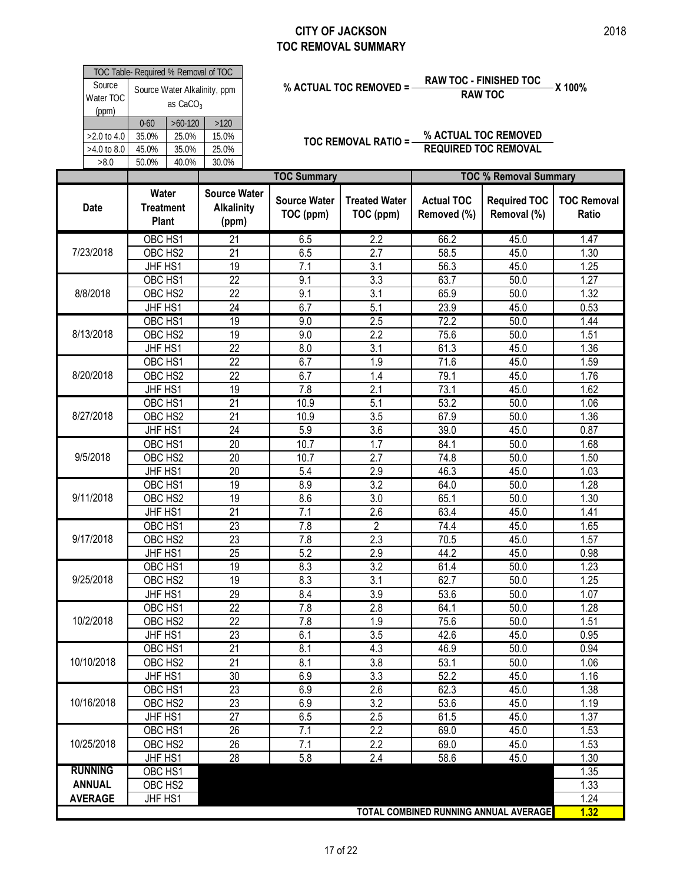|                                    | TOC Table- Required % Removal of TOC      |                                      |                                                   |                                  |                                   |                                  | <b>RAW TOC - FINISHED TOC</b>                       |                         |
|------------------------------------|-------------------------------------------|--------------------------------------|---------------------------------------------------|----------------------------------|-----------------------------------|----------------------------------|-----------------------------------------------------|-------------------------|
| Source<br>Water TOC<br>(ppm)       |                                           | as $CaCO3$                           | Source Water Alkalinity, ppm                      |                                  | % ACTUAL TOC REMOVED =            |                                  | <b>RAW TOC</b>                                      | X 100%                  |
| >2.0 to 4.0<br>>4.0 to 8.0<br>>8.0 | $0 - 60$<br>35.0%<br>45.0%<br>50.0%       | $>60-120$<br>25.0%<br>35.0%<br>40.0% | >120<br>15.0%<br>25.0%<br>30.0%                   |                                  | TOC REMOVAL RATIO =-              |                                  | % ACTUAL TOC REMOVED<br><b>REQUIRED TOC REMOVAL</b> |                         |
|                                    |                                           |                                      |                                                   | <b>TOC Summary</b>               |                                   |                                  | <b>TOC % Removal Summary</b>                        |                         |
| <b>Date</b>                        | Water<br><b>Treatment</b><br><b>Plant</b> |                                      | <b>Source Water</b><br><b>Alkalinity</b><br>(ppm) | <b>Source Water</b><br>TOC (ppm) | <b>Treated Water</b><br>TOC (ppm) | <b>Actual TOC</b><br>Removed (%) | <b>Required TOC</b><br>Removal (%)                  | <b>TOC Ren</b><br>Ratio |
|                                    | OBC HS1                                   |                                      | $\overline{21}$                                   | 6.5                              | 2.2                               | 66.2                             | 45.0                                                | 1.47                    |
| 7/23/2018                          | OBC HS2                                   |                                      | $\overline{21}$                                   | 6.5                              | $\overline{2.7}$                  | 58.5                             | 45.0                                                | 1.30                    |
|                                    | JHF HS1                                   |                                      | 19                                                | 7.1                              | 3.1                               | 56.3                             | 45.0                                                | 1.25                    |
|                                    | OBC HS1                                   |                                      | $\overline{22}$                                   | 9.1                              | 3.3                               | 63.7                             | 50.0                                                | 1.27                    |
| 8/8/2018                           | OBC HS2                                   |                                      | $\overline{22}$                                   | 9.1                              | $\overline{3.1}$                  | 65.9                             | 50.0                                                | 1.32                    |
|                                    | JHF HS1                                   |                                      | 24                                                | 6.7                              | 5.1                               | 23.9                             | 45.0                                                | 0.53                    |
|                                    | OBC HS1                                   |                                      | 19                                                | 9.0                              | 2.5                               | 72.2                             | 50.0                                                | 1.44                    |
| 8/13/2018                          | OBC HS2                                   |                                      | 19                                                | 9.0                              | 2.2                               | 75.6                             | 50.0                                                | 1.51                    |
|                                    | JHF HS1                                   |                                      | 22                                                | 8.0                              | 3.1                               | 61.3                             | 45.0                                                | 1.36                    |
|                                    | OBC HS1                                   |                                      | $\overline{22}$                                   | 6.7                              | 1.9                               | 71.6                             | 45.0                                                | 1.59                    |
| 8/20/2018                          | OBC HS2                                   |                                      | 22                                                | 6.7                              | 1.4                               | 79.1                             | 45.0                                                | 1.76                    |
|                                    | JHF HS1                                   |                                      | 19                                                | 7.8                              | 2.1                               | 73.1                             | 45.0                                                | 1.62                    |
|                                    | OBC HS1                                   |                                      | $\overline{21}$                                   | 10.9                             | 5.1                               | 53.2                             | 50.0                                                | 1.06                    |
| 8/27/2018                          | OBC HS2                                   |                                      | 21                                                | 10.9                             | 3.5                               | 67.9                             | 50.0                                                | 1.36                    |
|                                    | JHF HS1                                   |                                      | 24                                                | 5.9                              | 3.6                               | 39.0                             | 45.0                                                | 0.87                    |
|                                    | OBC HS1                                   |                                      | 20                                                | 10.7                             | 1.7                               | 84.1                             | 50.0                                                | 1.68                    |
| 9/5/2018                           | OBC HS2                                   |                                      | 20                                                | 10.7                             | 2.7                               | 74.8                             | 50.0                                                | 1.50                    |
|                                    | JHF HS1                                   |                                      | 20                                                | 5.4                              | 2.9                               | 46.3                             | 45.0                                                | 1.03                    |
|                                    | OBC HS1                                   |                                      | 19                                                | 8.9                              | $\overline{3.2}$                  | 64.0                             | 50.0                                                | 1.28                    |
| 9/11/2018                          | OBC HS2                                   |                                      | 19                                                | 8.6                              | 3.0                               | 65.1                             | 50.0                                                | 1.30                    |
|                                    | JHF HS1                                   |                                      | 21                                                | 7.1                              | 2.6                               | 63.4                             | 45.0                                                | 1.41                    |
| 9/17/2018                          | OBC HS1                                   |                                      | $\overline{23}$                                   | 7.8                              | $\overline{2}$                    | 74.4                             | 45.0                                                | 1.65                    |
|                                    | OBC HS2                                   |                                      | 23                                                | 7.8                              | 2.3                               | 70.5                             | 45.0                                                | 1.57                    |
|                                    | JHF HS1                                   |                                      | 25                                                | 5.2                              | 2.9                               | 44.2                             | 45.0                                                | 0.98                    |
|                                    | OBC HS1                                   |                                      | 19                                                | 8.3                              | 3.2                               | 61.4                             | 50.0                                                | 1.23                    |
| 9/25/2018                          | OBC HS2<br>JHF HS1                        |                                      | 19                                                | 8.3                              | 3.1                               | 62.7                             | 50.0                                                | 1.25                    |
|                                    | OBC HS1                                   |                                      | 29<br>$\overline{22}$                             | 8.4<br>7.8                       | 3.9<br>2.8                        | 53.6<br>64.1                     | 50.0<br>50.0                                        | 1.07<br>1.28            |
| 10/2/2018                          | OBC HS2                                   |                                      | 22                                                | 7.8                              | 1.9                               | 75.6                             | 50.0                                                | 1.51                    |
|                                    | JHF HS1                                   |                                      | 23                                                | 6.1                              | 3.5                               | 42.6                             | 45.0                                                | 0.95                    |
|                                    | OBC HS1                                   |                                      | 21                                                | 8.1                              | 4.3                               | 46.9                             | 50.0                                                | 0.94                    |
| 10/10/2018                         | OBC HS2                                   |                                      | 21                                                | 8.1                              | 3.8                               | 53.1                             | 50.0                                                | 1.06                    |
|                                    | JHF HS1                                   |                                      | 30                                                | 6.9                              | 3.3                               | 52.2                             | 45.0                                                | 1.16                    |
|                                    | OBC HS1                                   |                                      | 23                                                | 6.9                              | 2.6                               | 62.3                             | 45.0                                                | 1.38                    |
| 10/16/2018                         | OBC HS2                                   |                                      | 23                                                | 6.9                              | 3.2                               | 53.6                             | 45.0                                                | 1.19                    |
|                                    | JHF HS1                                   |                                      | $\overline{27}$                                   | 6.5                              | 2.5                               | 61.5                             | 45.0                                                | 1.37                    |
|                                    | OBC HS1                                   |                                      | 26                                                | 7.1                              | 2.2                               | 69.0                             | 45.0                                                | 1.53                    |
| 10/25/2018                         | OBC HS2                                   |                                      | 26                                                | 7.1                              | 2.2                               | 69.0                             | 45.0                                                | 1.53                    |
|                                    | JHF HS1                                   |                                      | 28                                                | 5.8                              | 2.4                               | 58.6                             | 45.0                                                | 1.30                    |
| <b>RUNNING</b>                     | OBC HS1                                   |                                      |                                                   |                                  |                                   |                                  |                                                     | 1.35                    |
| <b>ANNUAL</b>                      | OBC HS2                                   |                                      |                                                   |                                  |                                   |                                  |                                                     | 1.33                    |
| <b>AVERAGE</b>                     | JHF HS1                                   |                                      |                                                   |                                  |                                   |                                  |                                                     | 1.24                    |
|                                    |                                           |                                      |                                                   |                                  |                                   |                                  |                                                     |                         |

**TOC Removal Ratio**

**1.32**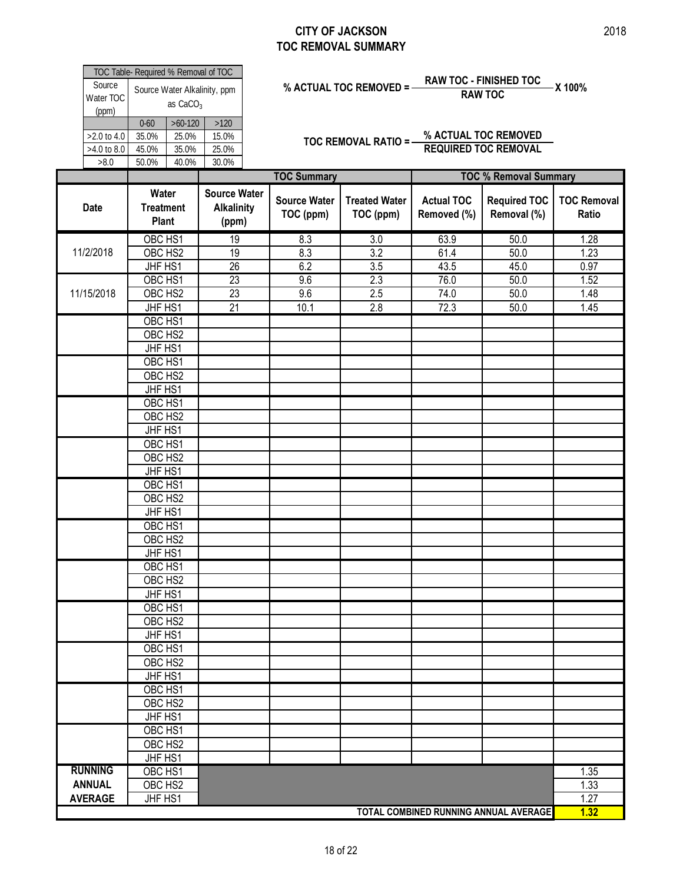F

| Source<br>Water TOC<br>(ppm)       | TOC Table- Required % Removal of TOC | as CaCO <sub>3</sub>                 | Source Water Alkalinity, ppm                      | <b>RAW TOC - FINISHED TOC</b><br>X 100%<br>% ACTUAL TOC REMOVED = -<br><b>RAW TOC</b><br>% ACTUAL TOC REMOVED<br>TOC REMOVAL RATIO =-<br><b>REQUIRED TOC REMOVAL</b> |                                             |                                  |                                       |                             |  |  |  |  |
|------------------------------------|--------------------------------------|--------------------------------------|---------------------------------------------------|----------------------------------------------------------------------------------------------------------------------------------------------------------------------|---------------------------------------------|----------------------------------|---------------------------------------|-----------------------------|--|--|--|--|
| >2.0 to 4.0<br>>4.0 to 8.0<br>>8.0 | $0 - 60$<br>35.0%<br>45.0%<br>50.0%  | $>60-120$<br>25.0%<br>35.0%<br>40.0% | $>120$<br>15.0%<br>25.0%<br>30.0%                 |                                                                                                                                                                      |                                             |                                  |                                       |                             |  |  |  |  |
|                                    |                                      |                                      |                                                   | <b>TOC Summary</b>                                                                                                                                                   |                                             |                                  | <b>TOC % Removal Summary</b>          |                             |  |  |  |  |
| <b>Date</b>                        | Water<br><b>Treatment</b><br>Plant   |                                      | <b>Source Water</b><br><b>Alkalinity</b><br>(ppm) | <b>Source Water</b><br>TOC (ppm)                                                                                                                                     | <b>Treated Water</b><br>TOC (ppm)           | <b>Actual TOC</b><br>Removed (%) | <b>Required TOC</b><br>Removal (%)    | <b>TOC Removal</b><br>Ratio |  |  |  |  |
| 11/2/2018                          | OBC HS1<br>OBC HS2<br>JHF HS1        |                                      | 19<br>19<br>26                                    | 8.3<br>8.3<br>6.2                                                                                                                                                    | $\overline{3.0}$<br>$\overline{3.2}$<br>3.5 | 63.9<br>61.4<br>43.5             | 50.0<br>50.0<br>45.0                  | 1.28<br>1.23<br>0.97        |  |  |  |  |
| 11/15/2018                         | OBC HS1<br>OBC HS2                   |                                      | $\overline{23}$<br>$\overline{23}$                | 9.6<br>9.6                                                                                                                                                           | 2.3<br>2.5                                  | 76.0<br>74.0                     | 50.0<br>50.0                          | 1.52<br>1.48                |  |  |  |  |
|                                    | JHF HS1<br>OBC HS1<br>OBC HS2        |                                      | 21                                                | 10.1                                                                                                                                                                 | 2.8                                         | 72.3                             | 50.0                                  | 1.45                        |  |  |  |  |
|                                    | JHF HS1<br>OBC HS1                   |                                      |                                                   |                                                                                                                                                                      |                                             |                                  |                                       |                             |  |  |  |  |
|                                    | OBC HS2<br>JHF HS1<br>OBC HS1        |                                      |                                                   |                                                                                                                                                                      |                                             |                                  |                                       |                             |  |  |  |  |
|                                    | OBC HS2<br>JHF HS1                   |                                      |                                                   |                                                                                                                                                                      |                                             |                                  |                                       |                             |  |  |  |  |
|                                    | OBC HS1<br>OBC HS2<br>JHF HS1        |                                      |                                                   |                                                                                                                                                                      |                                             |                                  |                                       |                             |  |  |  |  |
|                                    | OBC HS1<br>OBC HS2                   |                                      |                                                   |                                                                                                                                                                      |                                             |                                  |                                       |                             |  |  |  |  |
|                                    | JHF HS1<br>OBC HS1                   |                                      |                                                   |                                                                                                                                                                      |                                             |                                  |                                       |                             |  |  |  |  |
|                                    | OBC HS2<br>JHF HS1<br>OBC HS1        |                                      |                                                   |                                                                                                                                                                      |                                             |                                  |                                       |                             |  |  |  |  |
|                                    | OBC HS2<br>JHF HS1                   |                                      |                                                   |                                                                                                                                                                      |                                             |                                  |                                       |                             |  |  |  |  |
|                                    | OBC HS1<br>OBC HS2<br>JHF HS1        |                                      |                                                   |                                                                                                                                                                      |                                             |                                  |                                       |                             |  |  |  |  |
|                                    | OBC HS1<br>OBC HS2                   |                                      |                                                   |                                                                                                                                                                      |                                             |                                  |                                       |                             |  |  |  |  |
|                                    | JHF HS1<br>OBC HS1<br>OBC HS2        |                                      |                                                   |                                                                                                                                                                      |                                             |                                  |                                       |                             |  |  |  |  |
|                                    | JHF HS1<br>OBC HS1                   |                                      |                                                   |                                                                                                                                                                      |                                             |                                  |                                       |                             |  |  |  |  |
| <b>RUNNING</b>                     | OBC HS2<br>JHF HS1<br>OBC HS1        |                                      |                                                   |                                                                                                                                                                      |                                             |                                  |                                       | 1.35                        |  |  |  |  |
| <b>ANNUAL</b><br><b>AVERAGE</b>    | OBC HS2<br>JHF HS1                   |                                      |                                                   |                                                                                                                                                                      |                                             |                                  |                                       | 1.33<br>1.27                |  |  |  |  |
|                                    |                                      |                                      |                                                   |                                                                                                                                                                      |                                             |                                  | TOTAL COMBINED RUNNING ANNUAL AVERAGE | 1.32                        |  |  |  |  |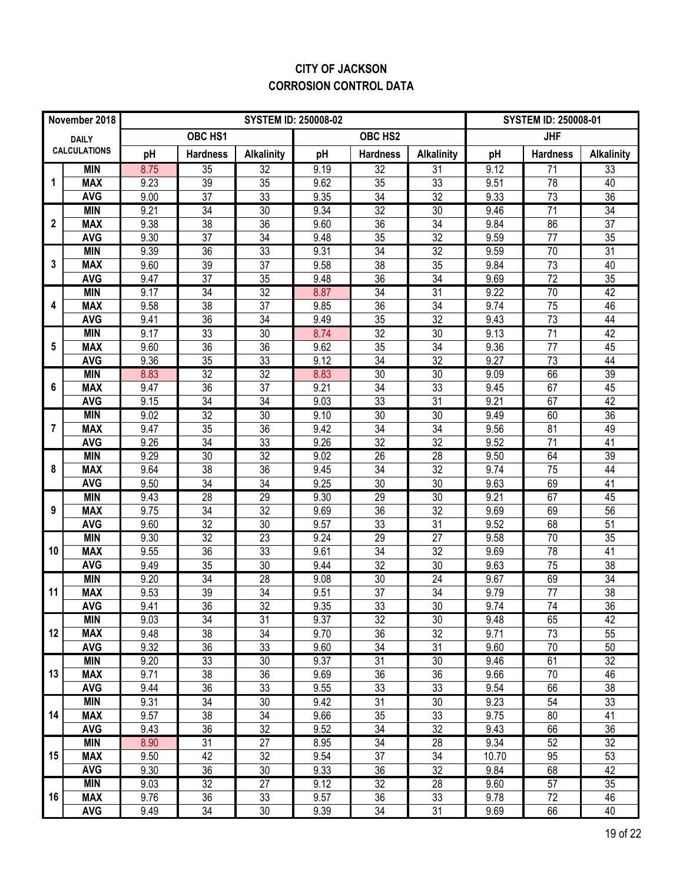### **CITY OF JACKSON CORROSION CONTROL DATA**

|                  | November 2018            |              |                 | <b>SYSTEM ID: 250008-02</b> |              |                       |                   |              | <b>SYSTEM ID: 250008-01</b> |                   |  |  |  |
|------------------|--------------------------|--------------|-----------------|-----------------------------|--------------|-----------------------|-------------------|--------------|-----------------------------|-------------------|--|--|--|
|                  | <b>DAILY</b>             |              | OBC HS1         |                             |              | OBC HS2               |                   |              | <b>JHF</b>                  |                   |  |  |  |
|                  | <b>CALCULATIONS</b>      | pH           | <b>Hardness</b> | <b>Alkalinity</b>           | pH           | <b>Hardness</b>       | <b>Alkalinity</b> | pH           | <b>Hardness</b>             | <b>Alkalinity</b> |  |  |  |
|                  | <b>MIN</b>               | 8.75         | $\overline{35}$ | $\overline{32}$             | 9.19         | $\overline{32}$       | 31                | 9.12         | 71                          | 33                |  |  |  |
| 1                | <b>MAX</b>               | 9.23         | 39              | $\overline{35}$             | 9.62         | 35                    | $\overline{33}$   | 9.51         | 78                          | 40                |  |  |  |
|                  | <b>AVG</b>               | 9.00         | $\overline{37}$ | $\overline{33}$             | 9.35         | $\overline{34}$       | $\overline{32}$   | 9.33         | $\overline{73}$             | $\overline{36}$   |  |  |  |
|                  | <b>MIN</b>               | 9.21         | 34              | 30                          | 9.34         | $\overline{32}$       | 30                | 9.46         | 71                          | 34                |  |  |  |
| $\boldsymbol{2}$ | <b>MAX</b>               | 9.38         | 38              | 36                          | 9.60         | 36                    | 34                | 9.84         | 86                          | 37                |  |  |  |
|                  | <b>AVG</b>               | 9.30         | 37              | $\overline{34}$             | 9.48         | 35                    | 32                | 9.59         | 77                          | 35                |  |  |  |
|                  | <b>MIN</b>               | 9.39         | $\overline{36}$ | 33                          | 9.31         | $\overline{34}$       | 32                | 9.59         | 70                          | 31                |  |  |  |
| 3                | <b>MAX</b>               | 9.60         | 39              | 37                          | 9.58         | 38                    | 35                | 9.84         | 73                          | 40                |  |  |  |
|                  | <b>AVG</b>               | 9.47         | $\overline{37}$ | 35                          | 9.48         | 36                    | 34                | 9.69         | $\overline{72}$             | 35                |  |  |  |
|                  | <b>MIN</b>               | 9.17         | 34              | 32                          | 8.87         | $\overline{34}$       | $\overline{31}$   | 9.22         | 70                          | $\overline{42}$   |  |  |  |
| 4                | <b>MAX</b>               | 9.58         | 38              | 37                          | 9.85         | 36                    | 34                | 9.74         | 75                          | 46                |  |  |  |
|                  | <b>AVG</b>               | 9.41         | 36              | 34                          | 9.49         | 35                    | 32                | 9.43         | 73                          | 44                |  |  |  |
|                  | <b>MIN</b>               | 9.17         | 33              | 30                          | 8.74         | 32                    | $\overline{30}$   | 9.13         | $\overline{71}$             | 42                |  |  |  |
| 5                | <b>MAX</b>               | 9.60         | 36              | $\overline{36}$             | 9.62         | 35                    | 34                | 9.36         | 77                          | 45                |  |  |  |
|                  | <b>AVG</b>               | 9.36         | 35              | 33                          | 9.12         | 34                    | 32                | 9.27         | 73                          | 44                |  |  |  |
| 6                | <b>MIN</b>               | 8.83         | $\overline{32}$ | 32<br>37                    | 8.83         | $\overline{30}$       | $\overline{30}$   | 9.09         | 66                          | 39                |  |  |  |
|                  | <b>MAX</b>               | 9.47         | 36              |                             | 9.21         | 34                    | 33                | 9.45         | 67                          | 45<br>42          |  |  |  |
|                  | <b>AVG</b><br><b>MIN</b> | 9.15<br>9.02 | 34<br>32        | 34<br>30                    | 9.03<br>9.10 | 33<br>$\overline{30}$ | 31<br>30          | 9.21<br>9.49 | 67<br>60                    | 36                |  |  |  |
| 7                | <b>MAX</b>               | 9.47         | 35              | 36                          | 9.42         | 34                    | 34                | 9.56         | 81                          | 49                |  |  |  |
|                  | <b>AVG</b>               | 9.26         | 34              | 33                          | 9.26         | 32                    | 32                | 9.52         | 71                          | 41                |  |  |  |
|                  | <b>MIN</b>               | 9.29         | 30              | 32                          | 9.02         | $\overline{26}$       | $\overline{28}$   | 9.50         | 64                          | 39                |  |  |  |
| 8                | <b>MAX</b>               | 9.64         | 38              | 36                          | 9.45         | 34                    | 32                | 9.74         | $\overline{75}$             | 44                |  |  |  |
|                  | <b>AVG</b>               | 9.50         | 34              | 34                          | 9.25         | 30                    | 30                | 9.63         | 69                          | 41                |  |  |  |
|                  | <b>MIN</b>               | 9.43         | 28              | 29                          | 9.30         | 29                    | 30                | 9.21         | 67                          | 45                |  |  |  |
| 9                | <b>MAX</b>               | 9.75         | 34              | $\overline{32}$             | 9.69         | 36                    | 32                | 9.69         | 69                          | 56                |  |  |  |
|                  | <b>AVG</b>               | 9.60         | 32              | $\overline{30}$             | 9.57         | 33                    | $\overline{31}$   | 9.52         | 68                          | $\overline{51}$   |  |  |  |
|                  | <b>MIN</b>               | 9.30         | $\overline{32}$ | 23                          | 9.24         | $\overline{29}$       | $\overline{27}$   | 9.58         | 70                          | $\overline{35}$   |  |  |  |
| 10               | <b>MAX</b>               | 9.55         | 36              | 33                          | 9.61         | 34                    | 32                | 9.69         | 78                          | 41                |  |  |  |
|                  | <b>AVG</b>               | 9.49         | 35              | 30                          | 9.44         | 32                    | 30                | 9.63         | 75                          | 38                |  |  |  |
|                  | <b>MIN</b>               | 9.20         | 34              | 28                          | 9.08         | 30                    | 24                | 9.67         | 69                          | 34                |  |  |  |
| 11               | <b>MAX</b>               | 9.53         | $\overline{39}$ | $\overline{34}$             | 9.51         | 37                    | $\overline{34}$   | 9.79         | 77                          | $\overline{38}$   |  |  |  |
|                  | <b>AVG</b>               | 9.41         | $\overline{36}$ | $\overline{32}$             | 9.35         | 33                    | $\overline{30}$   | 9.74         | 74                          | $\overline{36}$   |  |  |  |
|                  | <b>MIN</b>               | 9.03         | $\overline{34}$ | 31                          | 9.37         | 32                    | 30                | 9.48         | 65                          | 42                |  |  |  |
| 12               | <b>MAX</b>               | 9.48         | 38              | 34                          | 9.70         | 36                    | 32                | 9.71         | 73                          | 55                |  |  |  |
|                  | <b>AVG</b>               | 9.32         | 36              | 33                          | 9.60         | 34                    | 31                | 9.60         | 70                          | 50                |  |  |  |
|                  | <b>MIN</b>               | 9.20         | 33              | 30                          | 9.37         | 31                    | 30                | 9.46         | 61                          | $\overline{32}$   |  |  |  |
| 13               | <b>MAX</b>               | 9.71         | 38              | 36                          | 9.69         | 36                    | 36                | 9.66         | 70                          | 46                |  |  |  |
|                  | <b>AVG</b>               | 9.44         | 36              | 33                          | 9.55         | 33                    | 33                | 9.54         | 66                          | 38                |  |  |  |
|                  | <b>MIN</b>               | 9.31         | 34              | 30                          | 9.42         | $\overline{31}$       | 30                | 9.23         | 54                          | 33                |  |  |  |
| 14               | <b>MAX</b>               | 9.57         | 38              | 34                          | 9.66         | 35                    | 33                | 9.75         | 80                          | 41                |  |  |  |
|                  | <b>AVG</b>               | 9.43         | 36              | 32                          | 9.52         | 34                    | 32                | 9.43         | 66                          | 36                |  |  |  |
|                  | <b>MIN</b>               | 8.90         | 31              | $\overline{27}$             | 8.95         | $\overline{34}$       | $\overline{28}$   | 9.34         | 52                          | $\overline{32}$   |  |  |  |
| 15               | <b>MAX</b>               | 9.50         | 42              | 32                          | 9.54         | 37                    | 34                | 10.70        | 95                          | 53                |  |  |  |
|                  | <b>AVG</b>               | 9.30         | 36              | 30                          | 9.33         | 36                    | 32                | 9.84         | 68                          | 42                |  |  |  |
|                  | <b>MIN</b>               | 9.03         | $\overline{32}$ | $\overline{27}$             | 9.12         | $\overline{32}$       | $\overline{28}$   | 9.60         | 57                          | $\overline{35}$   |  |  |  |
| 16               | <b>MAX</b>               | 9.76         | 36              | 33                          | 9.57         | 36                    | 33                | 9.78         | 72                          | 46                |  |  |  |
|                  | <b>AVG</b>               | 9.49         | 34              | 30                          | 9.39         | 34                    | 31                | 9.69         | 66                          | 40                |  |  |  |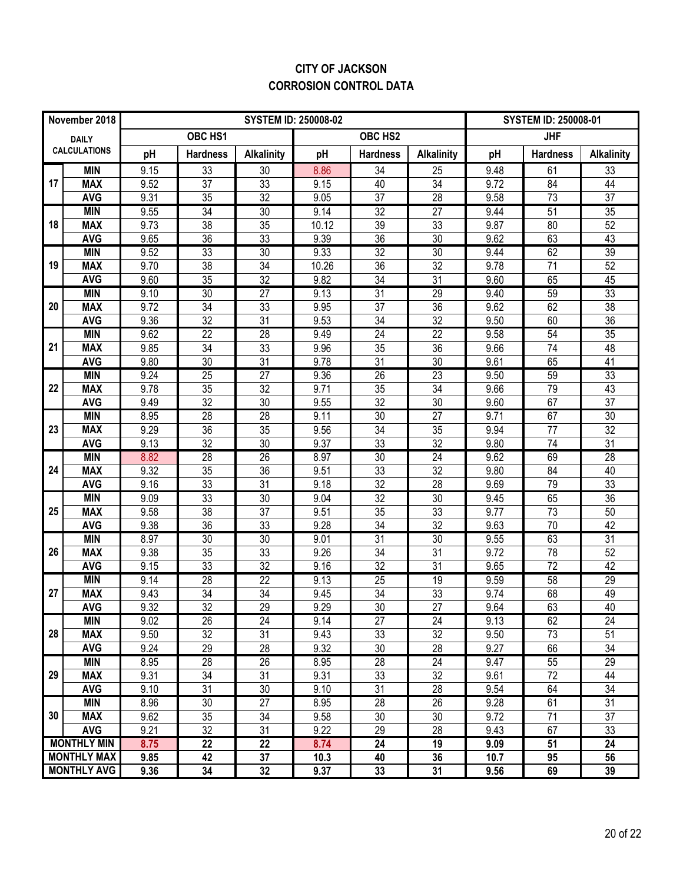### **CITY OF JACKSON CORROSION CONTROL DATA**

|    | November 2018            |              |                       | <b>SYSTEM ID: 250008-02</b> | <b>SYSTEM ID: 250008-01</b> |                       |                       |              |                 |                   |
|----|--------------------------|--------------|-----------------------|-----------------------------|-----------------------------|-----------------------|-----------------------|--------------|-----------------|-------------------|
|    | <b>DAILY</b>             |              | OBC HS1               |                             |                             | OBC HS2               |                       |              | <b>JHF</b>      |                   |
|    | <b>CALCULATIONS</b>      | pH           | <b>Hardness</b>       | <b>Alkalinity</b>           | pH                          | <b>Hardness</b>       | <b>Alkalinity</b>     | pH           | <b>Hardness</b> | <b>Alkalinity</b> |
|    | <b>MIN</b>               | 9.15         | 33                    | 30                          | 8.86                        | 34                    | 25                    | 9.48         | 61              | 33                |
| 17 | <b>MAX</b>               | 9.52         | 37                    | 33                          | 9.15                        | 40                    | $\overline{34}$       | 9.72         | 84              | 44                |
|    | <b>AVG</b>               | 9.31         | 35                    | $\overline{32}$             | 9.05                        | 37                    | 28                    | 9.58         | 73              | 37                |
|    | <b>MIN</b>               | 9.55         | $\overline{34}$       | 30                          | 9.14                        | 32                    | $\overline{27}$       | 9.44         | 51              | 35                |
| 18 | <b>MAX</b>               | 9.73         | 38                    | $\overline{35}$             | 10.12                       | 39                    | 33                    | 9.87         | 80              | 52                |
|    | <b>AVG</b>               | 9.65         | $\overline{36}$       | 33                          | 9.39                        | $\overline{36}$       | 30                    | 9.62         | 63              | 43                |
|    | <b>MIN</b>               | 9.52         | 33                    | 30                          | 9.33                        | 32                    | 30                    | 9.44         | 62              | 39                |
| 19 | <b>MAX</b>               | 9.70         | 38                    | 34                          | 10.26                       | 36                    | 32                    | 9.78         | 71              | 52                |
|    | <b>AVG</b>               | 9.60         | 35                    | 32                          | 9.82                        | 34                    | 31                    | 9.60         | 65              | 45                |
|    | <b>MIN</b>               | 9.10         | $\overline{30}$       | $\overline{27}$             | 9.13                        | $\overline{31}$       | 29                    | 9.40         | 59              | 33                |
| 20 | <b>MAX</b><br><b>AVG</b> | 9.72<br>9.36 | 34<br>32              | 33<br>31                    | 9.95<br>9.53                | 37<br>34              | 36<br>32              | 9.62<br>9.50 | 62<br>60        | 38<br>36          |
|    | <b>MIN</b>               | 9.62         | $\overline{22}$       | $\overline{28}$             | 9.49                        | $\overline{24}$       | 22                    | 9.58         | 54              | $\overline{35}$   |
| 21 | <b>MAX</b>               | 9.85         | 34                    | 33                          | 9.96                        | 35                    | 36                    | 9.66         | 74              | 48                |
|    | <b>AVG</b>               | 9.80         | 30                    | 31                          | 9.78                        | 31                    | 30                    | 9.61         | 65              | 41                |
|    | <b>MIN</b>               | 9.24         | $\overline{25}$       | $\overline{27}$             | 9.36                        | 26                    | $\overline{23}$       | 9.50         | 59              | 33                |
| 22 | <b>MAX</b>               | 9.78         | 35                    | 32                          | 9.71                        | 35                    | 34                    | 9.66         | 79              | 43                |
|    | <b>AVG</b>               | 9.49         | 32                    | 30                          | 9.55                        | 32                    | 30                    | 9.60         | 67              | 37                |
|    | <b>MIN</b>               | 8.95         | $\overline{28}$       | 28                          | 9.11                        | 30                    | $\overline{27}$       | 9.71         | 67              | 30                |
| 23 | <b>MAX</b>               | 9.29         | 36                    | $\overline{35}$             | 9.56                        | 34                    | 35                    | 9.94         | 77              | $\overline{32}$   |
|    | <b>AVG</b>               | 9.13         | 32                    | 30                          | 9.37                        | 33                    | 32                    | 9.80         | 74              | 31                |
|    | <b>MIN</b>               | 8.82         | 28                    | 26                          | 8.97                        | 30                    | 24                    | 9.62         | 69              | $\overline{28}$   |
| 24 | <b>MAX</b>               | 9.32         | 35                    | $\overline{36}$             | 9.51                        | 33                    | 32                    | 9.80         | 84              | 40                |
|    | <b>AVG</b>               | 9.16         | 33                    | $\overline{31}$             | 9.18                        | 32                    | 28                    | 9.69         | 79              | 33                |
|    | <b>MIN</b>               | 9.09         | 33                    | 30                          | 9.04                        | $\overline{32}$       | 30                    | 9.45         | 65              | 36                |
| 25 | <b>MAX</b>               | 9.58         | $\overline{38}$       | $\overline{37}$             | 9.51                        | 35                    | $\overline{33}$       | 9.77         | $\overline{73}$ | 50                |
|    | <b>AVG</b>               | 9.38         | 36                    | $\overline{33}$             | 9.28                        | 34                    | $\overline{32}$       | 9.63         | $\overline{70}$ | $\overline{42}$   |
|    | <b>MIN</b>               | 8.97         | $\overline{30}$       | 30                          | 9.01                        | $\overline{31}$       | $\overline{30}$       | 9.55         | 63              | $\overline{31}$   |
| 26 | <b>MAX</b>               | 9.38         | 35                    | 33                          | 9.26                        | 34                    | 31                    | 9.72         | 78              | 52                |
|    | <b>AVG</b>               | 9.15         | 33                    | $\overline{32}$             | 9.16                        | 32                    | $\overline{31}$       | 9.65         | 72              | 42                |
|    | <b>MIN</b>               | 9.14         | 28                    | $\overline{22}$             | 9.13                        | 25                    | 19                    | 9.59         | 58              | 29                |
| 27 | <b>MAX</b><br><b>AVG</b> | 9.43<br>9.32 | 34<br>$\overline{32}$ | 34<br>$\overline{29}$       | 9.45<br>9.29                | 34<br>$\overline{30}$ | 33<br>$\overline{27}$ | 9.74<br>9.64 | 68<br>63        | 49<br>40          |
|    | <b>MIN</b>               | 9.02         | 26                    | 24                          | 9.14                        | 27                    | 24                    |              | 62              | 24                |
| 28 | <b>MAX</b>               | 9.50         | 32                    | 31                          | 9.43                        | 33                    | 32                    | 9.13<br>9.50 | 73              | 51                |
|    | <b>AVG</b>               | 9.24         | 29                    | 28                          | 9.32                        | 30                    | 28                    | 9.27         | 66              | 34                |
|    | <b>MIN</b>               | 8.95         | 28                    | 26                          | 8.95                        | 28                    | $\overline{24}$       | 9.47         | 55              | 29                |
| 29 | <b>MAX</b>               | 9.31         | 34                    | 31                          | 9.31                        | 33                    | 32                    | 9.61         | 72              | 44                |
|    | <b>AVG</b>               | 9.10         | 31                    | 30                          | 9.10                        | 31                    | 28                    | 9.54         | 64              | 34                |
|    | <b>MIN</b>               | 8.96         | 30                    | $\overline{27}$             | 8.95                        | $\overline{28}$       | $\overline{26}$       | 9.28         | 61              | 31                |
| 30 | <b>MAX</b>               | 9.62         | 35                    | 34                          | 9.58                        | 30                    | 30                    | 9.72         | 71              | 37                |
|    | <b>AVG</b>               | 9.21         | 32                    | 31                          | 9.22                        | 29                    | 28                    | 9.43         | 67              | 33                |
|    | <b>MONTHLY MIN</b>       | 8.75         | $\overline{22}$       | $\overline{22}$             | 8.74                        | $\overline{24}$       | 19                    | 9.09         | 51              | $\overline{24}$   |
|    | <b>MONTHLY MAX</b>       | 9.85         | 42                    | 37                          | 10.3                        | 40                    | 36                    | 10.7         | 95              | 56                |
|    | <b>MONTHLY AVG</b>       | 9.36         | 34                    | 32                          | 9.37                        | 33                    | 31                    | 9.56         | 69              | 39                |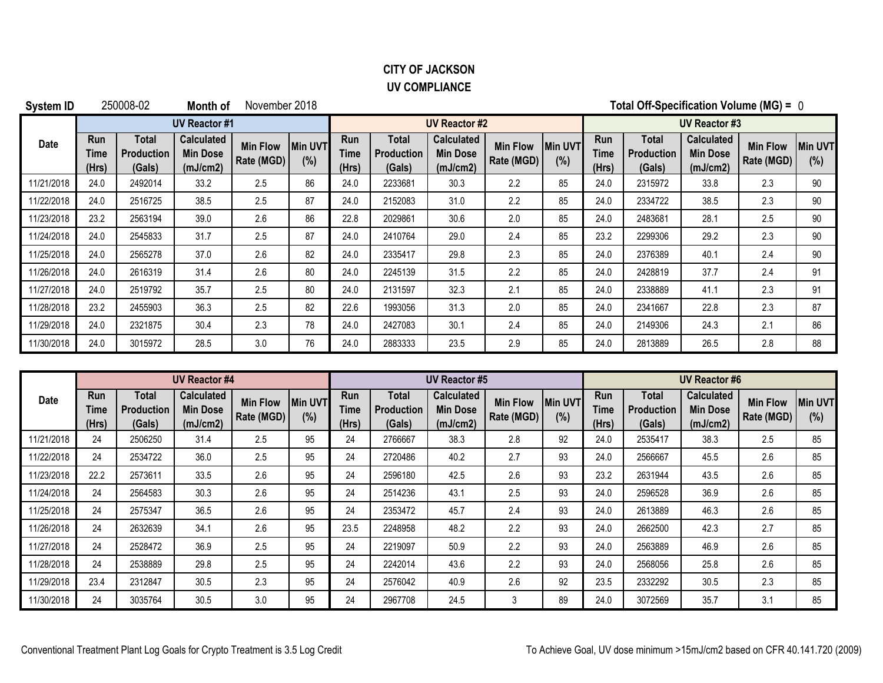### **CITY OF JACKSON UV COMPLIANCE**

| System ID  |                             | 250008-02                            | Month of                                  | November 2018                 |                       | Total Off-Specification Volume (MG) = 0 |                                      |                                                  |                               |                       |                             |                                      |                                                  |                               |                        |  |
|------------|-----------------------------|--------------------------------------|-------------------------------------------|-------------------------------|-----------------------|-----------------------------------------|--------------------------------------|--------------------------------------------------|-------------------------------|-----------------------|-----------------------------|--------------------------------------|--------------------------------------------------|-------------------------------|------------------------|--|
|            |                             |                                      | <b>UV Reactor #1</b>                      |                               |                       | <b>UV Reactor #2</b>                    |                                      |                                                  |                               |                       |                             | <b>UV Reactor #3</b>                 |                                                  |                               |                        |  |
| Date       | <b>Run</b><br>Time<br>(Hrs) | Total<br><b>Production</b><br>(Gals) | Calculated<br><b>Min Dose</b><br>(mJ/cm2) | <b>Min Flow</b><br>Rate (MGD) | <b>Min UVT</b><br>(%) | <b>Run</b><br>Time<br>(Hrs)             | Total<br><b>Production</b><br>(Gals) | <b>Calculated</b><br><b>Min Dose</b><br>(mJ/cm2) | <b>Min Flow</b><br>Rate (MGD) | <b>Min UVT</b><br>(%) | <b>Run</b><br>Time<br>(Hrs) | Total<br><b>Production</b><br>(Gals) | <b>Calculated</b><br><b>Min Dose</b><br>(mJ/cm2) | <b>Min Flow</b><br>Rate (MGD) | <b>IMin UVT</b><br>(%) |  |
| 11/21/2018 | 24.0                        | 2492014                              | 33.2                                      | 2.5                           | 86                    | 24.0                                    | 2233681                              | 30.3                                             | 2.2                           | 85                    | 24.0                        | 2315972                              | 33.8                                             | 2.3                           | 90                     |  |
| 11/22/2018 | 24.0                        | 2516725                              | 38.5                                      | 2.5                           | 87                    | 24.0                                    | 2152083                              | 31.0                                             | 2.2                           | 85                    | 24.0                        | 2334722                              | 38.5                                             | 2.3                           | 90                     |  |
| 11/23/2018 | 23.2                        | 2563194                              | 39.0                                      | 2.6                           | 86                    | 22.8                                    | 2029861                              | 30.6                                             | 2.0                           | 85                    | 24.0                        | 2483681                              | 28.1                                             | 2.5                           | 90                     |  |
| 11/24/2018 | 24.0                        | 2545833                              | 31.7                                      | 2.5                           | 87                    | 24.0                                    | 2410764                              | 29.0                                             | 2.4                           | 85                    | 23.2                        | 2299306                              | 29.2                                             | 2.3                           | 90                     |  |
| 11/25/2018 | 24.0                        | 2565278                              | 37.0                                      | 2.6                           | 82                    | 24.0                                    | 2335417                              | 29.8                                             | 2.3                           | 85                    | 24.0                        | 2376389                              | 40.1                                             | 2.4                           | 90                     |  |
| 11/26/2018 | 24.0                        | 2616319                              | 31.4                                      | 2.6                           | 80                    | 24.0                                    | 2245139                              | 31.5                                             | 2.2                           | 85                    | 24.0                        | 2428819                              | 37.7                                             | 2.4                           | 91                     |  |
| 11/27/2018 | 24.0                        | 2519792                              | 35.7                                      | 2.5                           | 80                    | 24.0                                    | 2131597                              | 32.3                                             | 2.1                           | 85                    | 24.0                        | 2338889                              | 41.1                                             | 2.3                           | 91                     |  |
| 11/28/2018 | 23.2                        | 2455903                              | 36.3                                      | 2.5                           | 82                    | 22.6                                    | 1993056                              | 31.3                                             | 2.0                           | 85                    | 24.0                        | 2341667                              | 22.8                                             | 2.3                           | 87                     |  |
| 11/29/2018 | 24.0                        | 2321875                              | 30.4                                      | 2.3                           | 78                    | 24.0                                    | 2427083                              | 30.1                                             | 2.4                           | 85                    | 24.0                        | 2149306                              | 24.3                                             | 2.1                           | 86                     |  |
| 11/30/2018 | 24.0                        | 3015972                              | 28.5                                      | 3.0                           | 76                    | 24.0                                    | 2883333                              | 23.5                                             | 2.9                           | 85                    | 24.0                        | 2813889                              | 26.5                                             | 2.8                           | 88                     |  |

|            |                             |                               | <b>UV Reactor #4</b>                             |                               |                       |                      |                                      | <b>UV Reactor #5</b>                             |                               | <b>UV Reactor #6</b>  |                      |                                      |                                    |                               |                       |
|------------|-----------------------------|-------------------------------|--------------------------------------------------|-------------------------------|-----------------------|----------------------|--------------------------------------|--------------------------------------------------|-------------------------------|-----------------------|----------------------|--------------------------------------|------------------------------------|-------------------------------|-----------------------|
| Date       | <b>Run</b><br>Time<br>(Hrs) | Total<br>Production<br>(Gals) | <b>Calculated</b><br><b>Min Dose</b><br>(mJ/cm2) | <b>Min Flow</b><br>Rate (MGD) | <b>Min UVT</b><br>(%) | Run<br>Time<br>(Hrs) | Total<br><b>Production</b><br>(Gals) | <b>Calculated</b><br><b>Min Dose</b><br>(mJ/cm2) | <b>Min Flow</b><br>Rate (MGD) | <b>Min UVT</b><br>(%) | Run<br>Time<br>(Hrs) | Total<br><b>Production</b><br>(Gals) | Calculated<br>Min Dose<br>(mJ/cm2) | <b>Min Flow</b><br>Rate (MGD) | <b>Min UVT</b><br>(%) |
| 11/21/2018 | 24                          | 2506250                       | 31.4                                             | 2.5                           | 95                    | 24                   | 2766667                              | 38.3                                             | 2.8                           | 92                    | 24.0                 | 2535417                              | 38.3                               | 2.5                           | 85                    |
| 11/22/2018 | 24                          | 2534722                       | 36.0                                             | 2.5                           | 95                    | 24                   | 2720486                              | 40.2                                             | 2.7                           | 93                    | 24.0                 | 2566667                              | 45.5                               | 2.6                           | 85                    |
| 11/23/2018 | 22.2                        | 2573611                       | 33.5                                             | 2.6                           | 95                    | 24                   | 2596180                              | 42.5                                             | 2.6                           | 93                    | 23.2                 | 2631944                              | 43.5                               | 2.6                           | 85                    |
| 11/24/2018 | 24                          | 2564583                       | 30.3                                             | 2.6                           | 95                    | 24                   | 2514236                              | 43.1                                             | 2.5                           | 93                    | 24.0                 | 2596528                              | 36.9                               | 2.6                           | 85                    |
| 11/25/2018 | 24                          | 2575347                       | 36.5                                             | 2.6                           | 95                    | 24                   | 2353472                              | 45.7                                             | 2.4                           | 93                    | 24.0                 | 2613889                              | 46.3                               | 2.6                           | 85                    |
| 11/26/2018 | 24                          | 2632639                       | 34.1                                             | 2.6                           | 95                    | 23.5                 | 2248958                              | 48.2                                             | 2.2                           | 93                    | 24.0                 | 2662500                              | 42.3                               | 2.7                           | 85                    |
| 11/27/2018 | 24                          | 2528472                       | 36.9                                             | 2.5                           | 95                    | 24                   | 2219097                              | 50.9                                             | 2.2                           | 93                    | 24.0                 | 2563889                              | 46.9                               | 2.6                           | 85                    |
| 11/28/2018 | 24                          | 2538889                       | 29.8                                             | 2.5                           | 95                    | 24                   | 2242014                              | 43.6                                             | 2.2                           | 93                    | 24.0                 | 2568056                              | 25.8                               | 2.6                           | 85                    |
| 11/29/2018 | 23.4                        | 2312847                       | 30.5                                             | 2.3                           | 95                    | 24                   | 2576042                              | 40.9                                             | 2.6                           | 92                    | 23.5                 | 2332292                              | 30.5                               | 2.3                           | 85                    |
| 11/30/2018 | 24                          | 3035764                       | 30.5                                             | 3.0                           | 95                    | 24                   | 2967708                              | 24.5                                             | ົ<br>Ĵ                        | 89                    | 24.0                 | 3072569                              | 35.7                               | 3.1                           | 85                    |